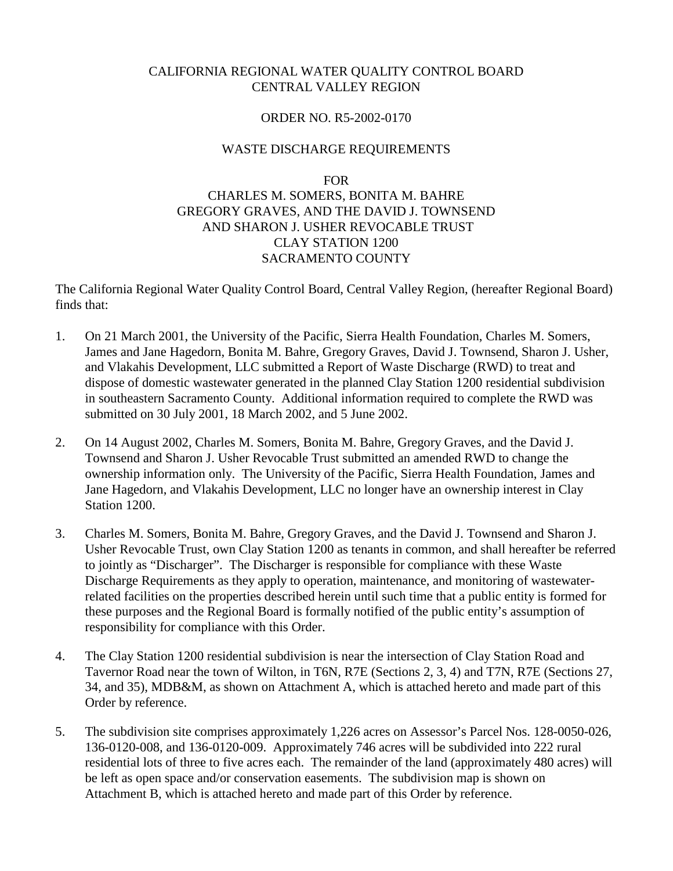## CALIFORNIA REGIONAL WATER QUALITY CONTROL BOARD CENTRAL VALLEY REGION

## ORDER NO. R5-2002-0170

## WASTE DISCHARGE REQUIREMENTS

FOR

# CHARLES M. SOMERS, BONITA M. BAHRE GREGORY GRAVES, AND THE DAVID J. TOWNSEND AND SHARON J. USHER REVOCABLE TRUST CLAY STATION 1200 SACRAMENTO COUNTY

The California Regional Water Quality Control Board, Central Valley Region, (hereafter Regional Board) finds that:

- 1. On 21 March 2001, the University of the Pacific, Sierra Health Foundation, Charles M. Somers, James and Jane Hagedorn, Bonita M. Bahre, Gregory Graves, David J. Townsend, Sharon J. Usher, and Vlakahis Development, LLC submitted a Report of Waste Discharge (RWD) to treat and dispose of domestic wastewater generated in the planned Clay Station 1200 residential subdivision in southeastern Sacramento County. Additional information required to complete the RWD was submitted on 30 July 2001, 18 March 2002, and 5 June 2002.
- 2. On 14 August 2002, Charles M. Somers, Bonita M. Bahre, Gregory Graves, and the David J. Townsend and Sharon J. Usher Revocable Trust submitted an amended RWD to change the ownership information only. The University of the Pacific, Sierra Health Foundation, James and Jane Hagedorn, and Vlakahis Development, LLC no longer have an ownership interest in Clay Station 1200.
- 3. Charles M. Somers, Bonita M. Bahre, Gregory Graves, and the David J. Townsend and Sharon J. Usher Revocable Trust, own Clay Station 1200 as tenants in common, and shall hereafter be referred to jointly as "Discharger". The Discharger is responsible for compliance with these Waste Discharge Requirements as they apply to operation, maintenance, and monitoring of wastewaterrelated facilities on the properties described herein until such time that a public entity is formed for these purposes and the Regional Board is formally notified of the public entity's assumption of responsibility for compliance with this Order.
- 4. The Clay Station 1200 residential subdivision is near the intersection of Clay Station Road and Tavernor Road near the town of Wilton, in T6N, R7E (Sections 2, 3, 4) and T7N, R7E (Sections 27, 34, and 35), MDB&M, as shown on Attachment A, which is attached hereto and made part of this Order by reference.
- 5. The subdivision site comprises approximately 1,226 acres on Assessor's Parcel Nos. 128-0050-026, 136-0120-008, and 136-0120-009. Approximately 746 acres will be subdivided into 222 rural residential lots of three to five acres each. The remainder of the land (approximately 480 acres) will be left as open space and/or conservation easements. The subdivision map is shown on Attachment B, which is attached hereto and made part of this Order by reference.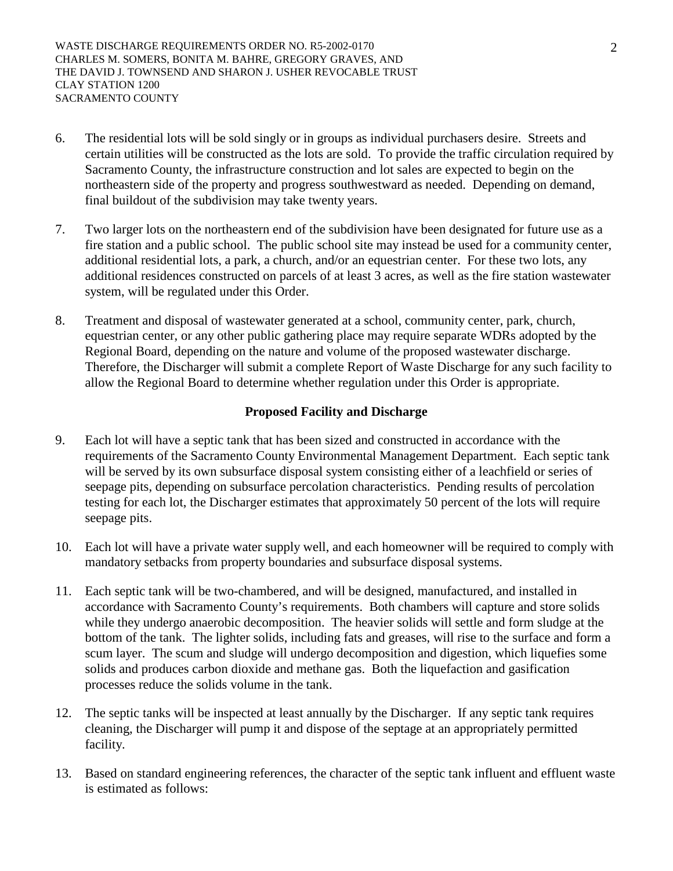WASTE DISCHARGE REQUIREMENTS ORDER NO. R5-2002-0170 CHARLES M. SOMERS, BONITA M. BAHRE, GREGORY GRAVES, AND THE DAVID J. TOWNSEND AND SHARON J. USHER REVOCABLE TRUST CLAY STATION 1200 SACRAMENTO COUNTY

- 6. The residential lots will be sold singly or in groups as individual purchasers desire. Streets and certain utilities will be constructed as the lots are sold. To provide the traffic circulation required by Sacramento County, the infrastructure construction and lot sales are expected to begin on the northeastern side of the property and progress southwestward as needed. Depending on demand, final buildout of the subdivision may take twenty years.
- 7. Two larger lots on the northeastern end of the subdivision have been designated for future use as a fire station and a public school. The public school site may instead be used for a community center, additional residential lots, a park, a church, and/or an equestrian center. For these two lots, any additional residences constructed on parcels of at least 3 acres, as well as the fire station wastewater system, will be regulated under this Order.
- 8. Treatment and disposal of wastewater generated at a school, community center, park, church, equestrian center, or any other public gathering place may require separate WDRs adopted by the Regional Board, depending on the nature and volume of the proposed wastewater discharge. Therefore, the Discharger will submit a complete Report of Waste Discharge for any such facility to allow the Regional Board to determine whether regulation under this Order is appropriate.

## **Proposed Facility and Discharge**

- 9. Each lot will have a septic tank that has been sized and constructed in accordance with the requirements of the Sacramento County Environmental Management Department. Each septic tank will be served by its own subsurface disposal system consisting either of a leachfield or series of seepage pits, depending on subsurface percolation characteristics. Pending results of percolation testing for each lot, the Discharger estimates that approximately 50 percent of the lots will require seepage pits.
- 10. Each lot will have a private water supply well, and each homeowner will be required to comply with mandatory setbacks from property boundaries and subsurface disposal systems.
- 11. Each septic tank will be two-chambered, and will be designed, manufactured, and installed in accordance with Sacramento County's requirements. Both chambers will capture and store solids while they undergo anaerobic decomposition. The heavier solids will settle and form sludge at the bottom of the tank. The lighter solids, including fats and greases, will rise to the surface and form a scum layer. The scum and sludge will undergo decomposition and digestion, which liquefies some solids and produces carbon dioxide and methane gas. Both the liquefaction and gasification processes reduce the solids volume in the tank.
- 12. The septic tanks will be inspected at least annually by the Discharger. If any septic tank requires cleaning, the Discharger will pump it and dispose of the septage at an appropriately permitted facility.
- 13. Based on standard engineering references, the character of the septic tank influent and effluent waste is estimated as follows: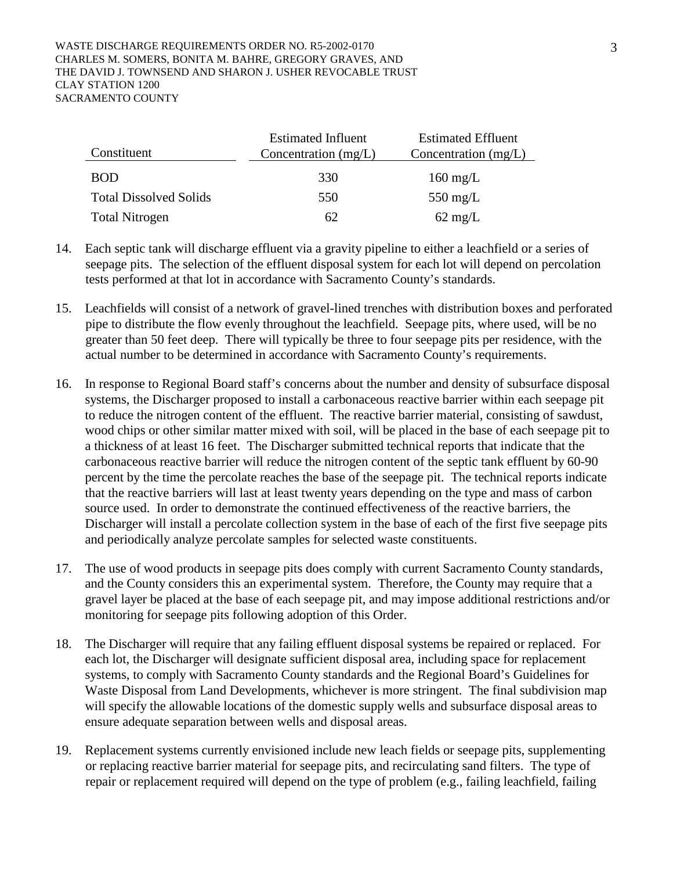| Constituent                   | <b>Estimated Influent</b><br>Concentration $(mg/L)$ | <b>Estimated Effluent</b><br>Concentration $(mg/L)$ |
|-------------------------------|-----------------------------------------------------|-----------------------------------------------------|
| <b>BOD</b>                    | 330                                                 | $160 \text{ mg/L}$                                  |
| <b>Total Dissolved Solids</b> | 550                                                 | 550 mg/L                                            |
| <b>Total Nitrogen</b>         | 62                                                  | $62 \text{ mg/L}$                                   |

- 14. Each septic tank will discharge effluent via a gravity pipeline to either a leachfield or a series of seepage pits. The selection of the effluent disposal system for each lot will depend on percolation tests performed at that lot in accordance with Sacramento County's standards.
- 15. Leachfields will consist of a network of gravel-lined trenches with distribution boxes and perforated pipe to distribute the flow evenly throughout the leachfield. Seepage pits, where used, will be no greater than 50 feet deep. There will typically be three to four seepage pits per residence, with the actual number to be determined in accordance with Sacramento County's requirements.
- 16. In response to Regional Board staff's concerns about the number and density of subsurface disposal systems, the Discharger proposed to install a carbonaceous reactive barrier within each seepage pit to reduce the nitrogen content of the effluent. The reactive barrier material, consisting of sawdust, wood chips or other similar matter mixed with soil, will be placed in the base of each seepage pit to a thickness of at least 16 feet. The Discharger submitted technical reports that indicate that the carbonaceous reactive barrier will reduce the nitrogen content of the septic tank effluent by 60-90 percent by the time the percolate reaches the base of the seepage pit. The technical reports indicate that the reactive barriers will last at least twenty years depending on the type and mass of carbon source used. In order to demonstrate the continued effectiveness of the reactive barriers, the Discharger will install a percolate collection system in the base of each of the first five seepage pits and periodically analyze percolate samples for selected waste constituents.
- 17. The use of wood products in seepage pits does comply with current Sacramento County standards, and the County considers this an experimental system. Therefore, the County may require that a gravel layer be placed at the base of each seepage pit, and may impose additional restrictions and/or monitoring for seepage pits following adoption of this Order.
- 18. The Discharger will require that any failing effluent disposal systems be repaired or replaced. For each lot, the Discharger will designate sufficient disposal area, including space for replacement systems, to comply with Sacramento County standards and the Regional Board's Guidelines for Waste Disposal from Land Developments, whichever is more stringent. The final subdivision map will specify the allowable locations of the domestic supply wells and subsurface disposal areas to ensure adequate separation between wells and disposal areas.
- 19. Replacement systems currently envisioned include new leach fields or seepage pits, supplementing or replacing reactive barrier material for seepage pits, and recirculating sand filters. The type of repair or replacement required will depend on the type of problem (e.g., failing leachfield, failing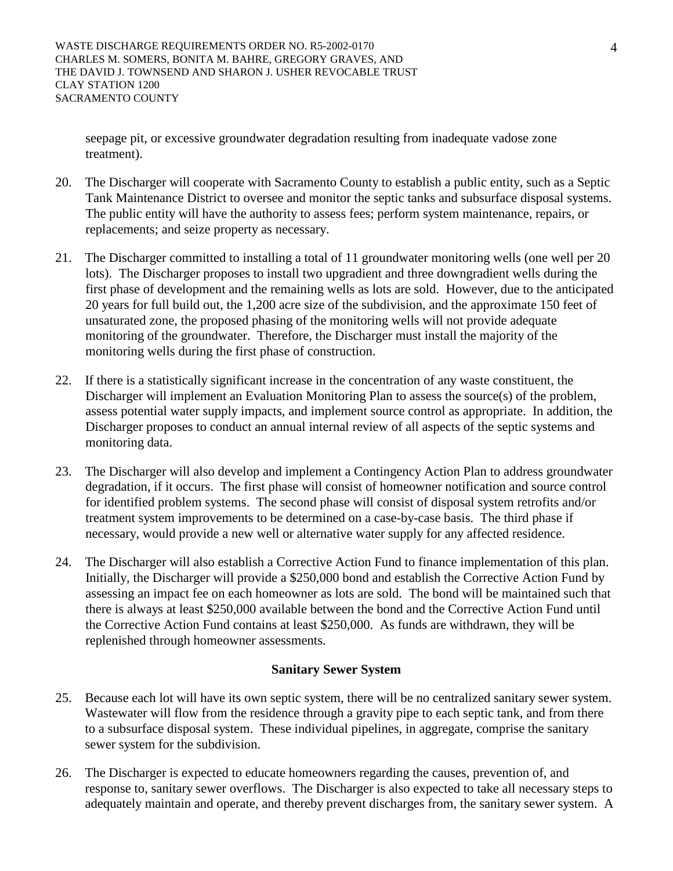seepage pit, or excessive groundwater degradation resulting from inadequate vadose zone treatment).

- 20. The Discharger will cooperate with Sacramento County to establish a public entity, such as a Septic Tank Maintenance District to oversee and monitor the septic tanks and subsurface disposal systems. The public entity will have the authority to assess fees; perform system maintenance, repairs, or replacements; and seize property as necessary.
- 21. The Discharger committed to installing a total of 11 groundwater monitoring wells (one well per 20 lots). The Discharger proposes to install two upgradient and three downgradient wells during the first phase of development and the remaining wells as lots are sold. However, due to the anticipated 20 years for full build out, the 1,200 acre size of the subdivision, and the approximate 150 feet of unsaturated zone, the proposed phasing of the monitoring wells will not provide adequate monitoring of the groundwater. Therefore, the Discharger must install the majority of the monitoring wells during the first phase of construction.
- 22. If there is a statistically significant increase in the concentration of any waste constituent, the Discharger will implement an Evaluation Monitoring Plan to assess the source(s) of the problem, assess potential water supply impacts, and implement source control as appropriate. In addition, the Discharger proposes to conduct an annual internal review of all aspects of the septic systems and monitoring data.
- 23. The Discharger will also develop and implement a Contingency Action Plan to address groundwater degradation, if it occurs. The first phase will consist of homeowner notification and source control for identified problem systems. The second phase will consist of disposal system retrofits and/or treatment system improvements to be determined on a case-by-case basis. The third phase if necessary, would provide a new well or alternative water supply for any affected residence.
- 24. The Discharger will also establish a Corrective Action Fund to finance implementation of this plan. Initially, the Discharger will provide a \$250,000 bond and establish the Corrective Action Fund by assessing an impact fee on each homeowner as lots are sold. The bond will be maintained such that there is always at least \$250,000 available between the bond and the Corrective Action Fund until the Corrective Action Fund contains at least \$250,000. As funds are withdrawn, they will be replenished through homeowner assessments.

## **Sanitary Sewer System**

- 25. Because each lot will have its own septic system, there will be no centralized sanitary sewer system. Wastewater will flow from the residence through a gravity pipe to each septic tank, and from there to a subsurface disposal system. These individual pipelines, in aggregate, comprise the sanitary sewer system for the subdivision.
- 26. The Discharger is expected to educate homeowners regarding the causes, prevention of, and response to, sanitary sewer overflows. The Discharger is also expected to take all necessary steps to adequately maintain and operate, and thereby prevent discharges from, the sanitary sewer system. A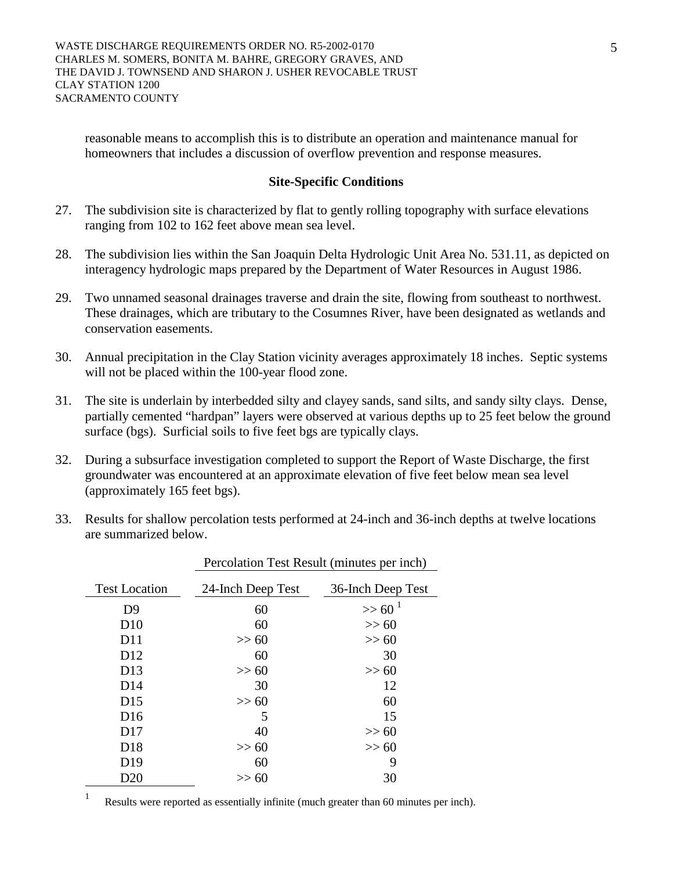reasonable means to accomplish this is to distribute an operation and maintenance manual for homeowners that includes a discussion of overflow prevention and response measures.

## **Site-Specific Conditions**

- 27. The subdivision site is characterized by flat to gently rolling topography with surface elevations ranging from 102 to 162 feet above mean sea level.
- 28. The subdivision lies within the San Joaquin Delta Hydrologic Unit Area No. 531.11, as depicted on interagency hydrologic maps prepared by the Department of Water Resources in August 1986.
- 29. Two unnamed seasonal drainages traverse and drain the site, flowing from southeast to northwest. These drainages, which are tributary to the Cosumnes River, have been designated as wetlands and conservation easements.
- 30. Annual precipitation in the Clay Station vicinity averages approximately 18 inches. Septic systems will not be placed within the 100-year flood zone.
- 31. The site is underlain by interbedded silty and clayey sands, sand silts, and sandy silty clays. Dense, partially cemented "hardpan" layers were observed at various depths up to 25 feet below the ground surface (bgs). Surficial soils to five feet bgs are typically clays.
- 32. During a subsurface investigation completed to support the Report of Waste Discharge, the first groundwater was encountered at an approximate elevation of five feet below mean sea level (approximately 165 feet bgs).
- 33. Results for shallow percolation tests performed at 24-inch and 36-inch depths at twelve locations are summarized below.

| <b>Test Location</b> | 24-Inch Deep Test | 36-Inch Deep Test |
|----------------------|-------------------|-------------------|
| D <sub>9</sub>       | 60                | $>> 60^1$         |
| D10                  | 60                | >> 60             |
| D11                  | >> 60             | >> 60             |
| D <sub>12</sub>      | 60                | 30                |
| D <sub>13</sub>      | >> 60             | >> 60             |
| D14                  | 30                | 12                |
| D15                  | >> 60             | 60                |
| D <sub>16</sub>      | 5                 | 15                |
| D17                  | 40                | >> 60             |
| D <sub>18</sub>      | >> 60             | >> 60             |
| D <sub>19</sub>      | 60                | 9                 |
| D20                  | >> 60             | 30                |

Percolation Test Result (minutes per inch)

<sup>1</sup> Results were reported as essentially infinite (much greater than 60 minutes per inch).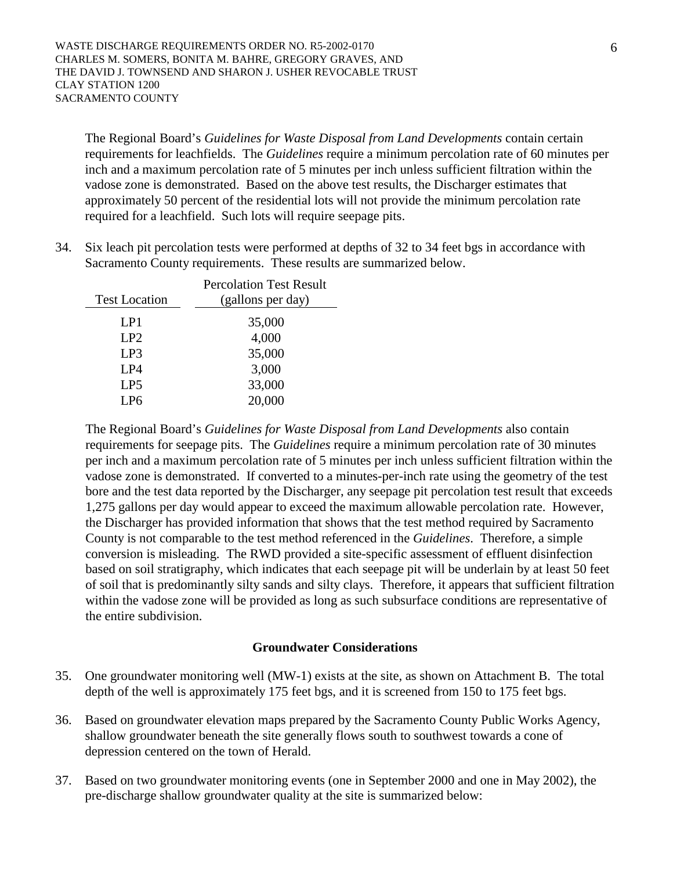The Regional Board's *Guidelines for Waste Disposal from Land Developments* contain certain requirements for leachfields. The *Guidelines* require a minimum percolation rate of 60 minutes per inch and a maximum percolation rate of 5 minutes per inch unless sufficient filtration within the vadose zone is demonstrated. Based on the above test results, the Discharger estimates that approximately 50 percent of the residential lots will not provide the minimum percolation rate required for a leachfield. Such lots will require seepage pits.

34. Six leach pit percolation tests were performed at depths of 32 to 34 feet bgs in accordance with Sacramento County requirements. These results are summarized below.

|                      | <b>Percolation Test Result</b> |
|----------------------|--------------------------------|
| <b>Test Location</b> | (gallons per day)              |
| LP1                  | 35,000                         |
| LP2                  | 4,000                          |
| LP3                  | 35,000                         |
| LP4                  | 3,000                          |
| LP <sub>5</sub>      | 33,000                         |
| I P6                 | 20,000                         |
|                      |                                |

The Regional Board's *Guidelines for Waste Disposal from Land Developments* also contain requirements for seepage pits. The *Guidelines* require a minimum percolation rate of 30 minutes per inch and a maximum percolation rate of 5 minutes per inch unless sufficient filtration within the vadose zone is demonstrated. If converted to a minutes-per-inch rate using the geometry of the test bore and the test data reported by the Discharger, any seepage pit percolation test result that exceeds 1,275 gallons per day would appear to exceed the maximum allowable percolation rate. However, the Discharger has provided information that shows that the test method required by Sacramento County is not comparable to the test method referenced in the *Guidelines*. Therefore, a simple conversion is misleading. The RWD provided a site-specific assessment of effluent disinfection based on soil stratigraphy, which indicates that each seepage pit will be underlain by at least 50 feet of soil that is predominantly silty sands and silty clays. Therefore, it appears that sufficient filtration within the vadose zone will be provided as long as such subsurface conditions are representative of the entire subdivision.

## **Groundwater Considerations**

- 35. One groundwater monitoring well (MW-1) exists at the site, as shown on Attachment B. The total depth of the well is approximately 175 feet bgs, and it is screened from 150 to 175 feet bgs.
- 36. Based on groundwater elevation maps prepared by the Sacramento County Public Works Agency, shallow groundwater beneath the site generally flows south to southwest towards a cone of depression centered on the town of Herald.
- 37. Based on two groundwater monitoring events (one in September 2000 and one in May 2002), the pre-discharge shallow groundwater quality at the site is summarized below: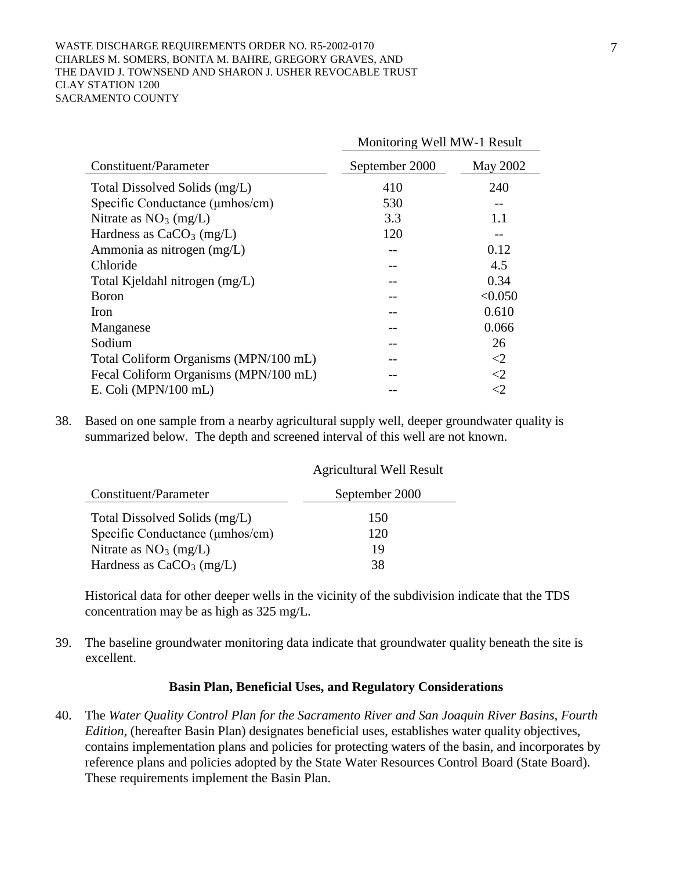#### WASTE DISCHARGE REQUIREMENTS ORDER NO. R5-2002-0170 CHARLES M. SOMERS, BONITA M. BAHRE, GREGORY GRAVES, AND THE DAVID J. TOWNSEND AND SHARON J. USHER REVOCABLE TRUST CLAY STATION 1200 SACRAMENTO COUNTY

|                                          | Monitoring Well MW-1 Result |          |  |
|------------------------------------------|-----------------------------|----------|--|
| Constituent/Parameter                    | September 2000              | May 2002 |  |
| Total Dissolved Solids (mg/L)            | 410                         | 240      |  |
| Specific Conductance ( <i>µmhos/cm</i> ) | 530                         |          |  |
| Nitrate as $NO3$ (mg/L)                  | 3.3                         | 1.1      |  |
| Hardness as $CaCO3$ (mg/L)               | 120                         |          |  |
| Ammonia as nitrogen (mg/L)               |                             | 0.12     |  |
| Chloride                                 |                             | 4.5      |  |
| Total Kjeldahl nitrogen (mg/L)           |                             | 0.34     |  |
| <b>B</b> oron                            |                             | < 0.050  |  |
| Iron                                     |                             | 0.610    |  |
| Manganese                                |                             | 0.066    |  |
| Sodium                                   |                             | 26       |  |
| Total Coliform Organisms (MPN/100 mL)    |                             | $\leq$ 2 |  |
| Fecal Coliform Organisms (MPN/100 mL)    |                             | $\leq$ 2 |  |
| E. Coli (MPN/100 mL)                     |                             | ${<}2$   |  |

38. Based on one sample from a nearby agricultural supply well, deeper groundwater quality is summarized below. The depth and screened interval of this well are not known.

|                                 | <b>Agricultural Well Result</b> |
|---------------------------------|---------------------------------|
| Constituent/Parameter           | September 2000                  |
| Total Dissolved Solids (mg/L)   | 150                             |
| Specific Conductance (µmhos/cm) | 120                             |
| Nitrate as $NO3$ (mg/L)         | 19                              |
| Hardness as $CaCO3$ (mg/L)      | 38                              |

Historical data for other deeper wells in the vicinity of the subdivision indicate that the TDS concentration may be as high as 325 mg/L.

39. The baseline groundwater monitoring data indicate that groundwater quality beneath the site is excellent.

### **Basin Plan, Beneficial Uses, and Regulatory Considerations**

40. The *Water Quality Control Plan for the Sacramento River and San Joaquin River Basins, Fourth Edition*, (hereafter Basin Plan) designates beneficial uses, establishes water quality objectives, contains implementation plans and policies for protecting waters of the basin, and incorporates by reference plans and policies adopted by the State Water Resources Control Board (State Board). These requirements implement the Basin Plan.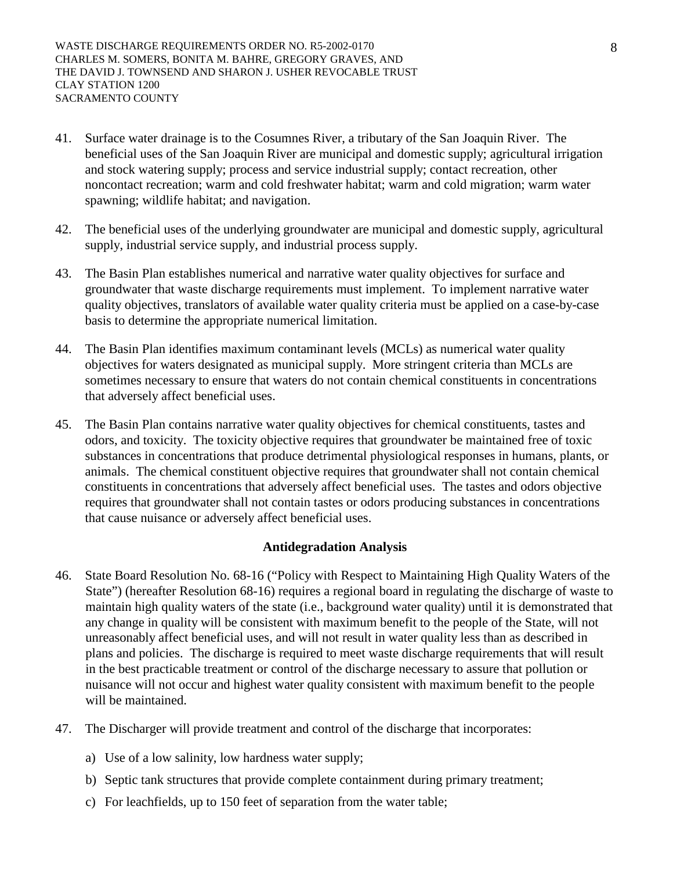- 41. Surface water drainage is to the Cosumnes River, a tributary of the San Joaquin River. The beneficial uses of the San Joaquin River are municipal and domestic supply; agricultural irrigation and stock watering supply; process and service industrial supply; contact recreation, other noncontact recreation; warm and cold freshwater habitat; warm and cold migration; warm water spawning; wildlife habitat; and navigation.
- 42. The beneficial uses of the underlying groundwater are municipal and domestic supply, agricultural supply, industrial service supply, and industrial process supply.
- 43. The Basin Plan establishes numerical and narrative water quality objectives for surface and groundwater that waste discharge requirements must implement. To implement narrative water quality objectives, translators of available water quality criteria must be applied on a case-by-case basis to determine the appropriate numerical limitation.
- 44. The Basin Plan identifies maximum contaminant levels (MCLs) as numerical water quality objectives for waters designated as municipal supply. More stringent criteria than MCLs are sometimes necessary to ensure that waters do not contain chemical constituents in concentrations that adversely affect beneficial uses.
- 45. The Basin Plan contains narrative water quality objectives for chemical constituents, tastes and odors, and toxicity. The toxicity objective requires that groundwater be maintained free of toxic substances in concentrations that produce detrimental physiological responses in humans, plants, or animals. The chemical constituent objective requires that groundwater shall not contain chemical constituents in concentrations that adversely affect beneficial uses. The tastes and odors objective requires that groundwater shall not contain tastes or odors producing substances in concentrations that cause nuisance or adversely affect beneficial uses.

## **Antidegradation Analysis**

- 46. State Board Resolution No. 68-16 ("Policy with Respect to Maintaining High Quality Waters of the State") (hereafter Resolution 68-16) requires a regional board in regulating the discharge of waste to maintain high quality waters of the state (i.e., background water quality) until it is demonstrated that any change in quality will be consistent with maximum benefit to the people of the State, will not unreasonably affect beneficial uses, and will not result in water quality less than as described in plans and policies. The discharge is required to meet waste discharge requirements that will result in the best practicable treatment or control of the discharge necessary to assure that pollution or nuisance will not occur and highest water quality consistent with maximum benefit to the people will be maintained.
- 47. The Discharger will provide treatment and control of the discharge that incorporates:
	- a) Use of a low salinity, low hardness water supply;
	- b) Septic tank structures that provide complete containment during primary treatment;
	- c) For leachfields, up to 150 feet of separation from the water table;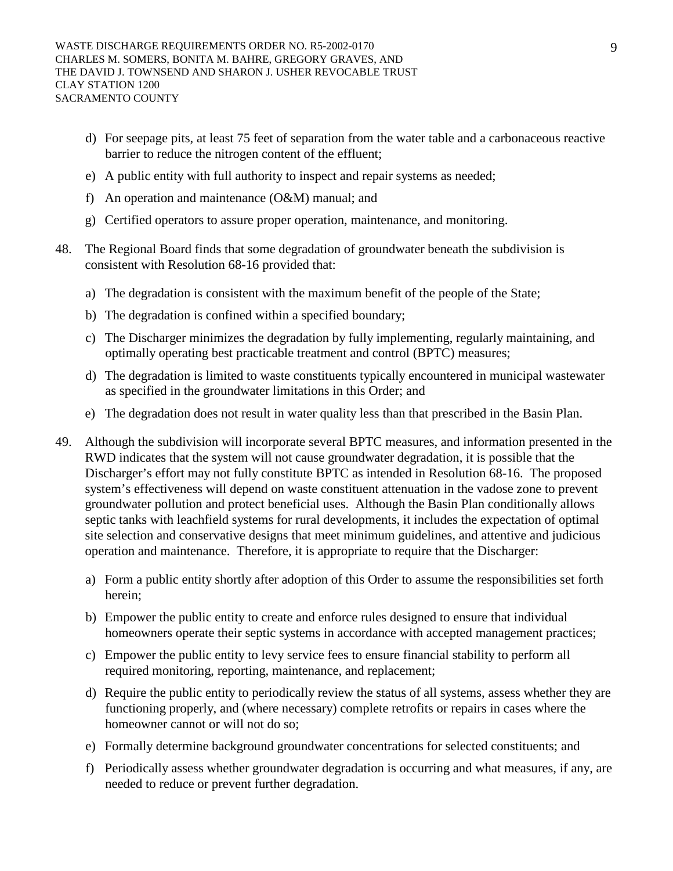- d) For seepage pits, at least 75 feet of separation from the water table and a carbonaceous reactive barrier to reduce the nitrogen content of the effluent;
- e) A public entity with full authority to inspect and repair systems as needed;
- f) An operation and maintenance (O&M) manual; and
- g) Certified operators to assure proper operation, maintenance, and monitoring.
- 48. The Regional Board finds that some degradation of groundwater beneath the subdivision is consistent with Resolution 68-16 provided that:
	- a) The degradation is consistent with the maximum benefit of the people of the State;
	- b) The degradation is confined within a specified boundary;
	- c) The Discharger minimizes the degradation by fully implementing, regularly maintaining, and optimally operating best practicable treatment and control (BPTC) measures;
	- d) The degradation is limited to waste constituents typically encountered in municipal wastewater as specified in the groundwater limitations in this Order; and
	- e) The degradation does not result in water quality less than that prescribed in the Basin Plan.
- 49. Although the subdivision will incorporate several BPTC measures, and information presented in the RWD indicates that the system will not cause groundwater degradation, it is possible that the Discharger's effort may not fully constitute BPTC as intended in Resolution 68-16. The proposed system's effectiveness will depend on waste constituent attenuation in the vadose zone to prevent groundwater pollution and protect beneficial uses. Although the Basin Plan conditionally allows septic tanks with leachfield systems for rural developments, it includes the expectation of optimal site selection and conservative designs that meet minimum guidelines, and attentive and judicious operation and maintenance. Therefore, it is appropriate to require that the Discharger:
	- a) Form a public entity shortly after adoption of this Order to assume the responsibilities set forth herein;
	- b) Empower the public entity to create and enforce rules designed to ensure that individual homeowners operate their septic systems in accordance with accepted management practices;
	- c) Empower the public entity to levy service fees to ensure financial stability to perform all required monitoring, reporting, maintenance, and replacement;
	- d) Require the public entity to periodically review the status of all systems, assess whether they are functioning properly, and (where necessary) complete retrofits or repairs in cases where the homeowner cannot or will not do so;
	- e) Formally determine background groundwater concentrations for selected constituents; and
	- f) Periodically assess whether groundwater degradation is occurring and what measures, if any, are needed to reduce or prevent further degradation.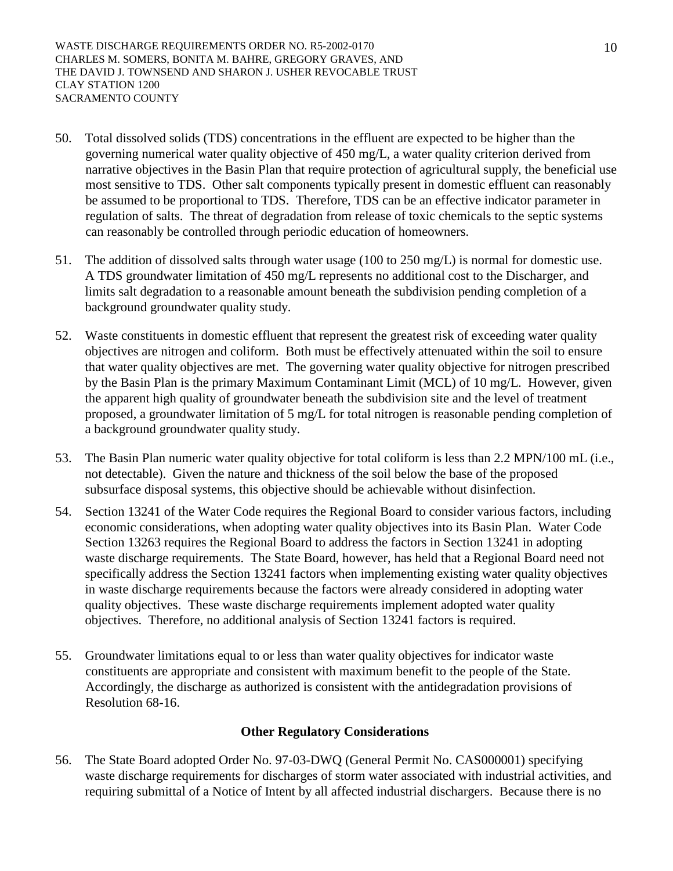- 50. Total dissolved solids (TDS) concentrations in the effluent are expected to be higher than the governing numerical water quality objective of 450 mg/L, a water quality criterion derived from narrative objectives in the Basin Plan that require protection of agricultural supply, the beneficial use most sensitive to TDS. Other salt components typically present in domestic effluent can reasonably be assumed to be proportional to TDS. Therefore, TDS can be an effective indicator parameter in regulation of salts. The threat of degradation from release of toxic chemicals to the septic systems can reasonably be controlled through periodic education of homeowners.
- 51. The addition of dissolved salts through water usage (100 to 250 mg/L) is normal for domestic use. A TDS groundwater limitation of 450 mg/L represents no additional cost to the Discharger, and limits salt degradation to a reasonable amount beneath the subdivision pending completion of a background groundwater quality study.
- 52. Waste constituents in domestic effluent that represent the greatest risk of exceeding water quality objectives are nitrogen and coliform. Both must be effectively attenuated within the soil to ensure that water quality objectives are met. The governing water quality objective for nitrogen prescribed by the Basin Plan is the primary Maximum Contaminant Limit (MCL) of 10 mg/L. However, given the apparent high quality of groundwater beneath the subdivision site and the level of treatment proposed, a groundwater limitation of 5 mg/L for total nitrogen is reasonable pending completion of a background groundwater quality study.
- 53. The Basin Plan numeric water quality objective for total coliform is less than 2.2 MPN/100 mL (i.e., not detectable). Given the nature and thickness of the soil below the base of the proposed subsurface disposal systems, this objective should be achievable without disinfection.
- 54. Section 13241 of the Water Code requires the Regional Board to consider various factors, including economic considerations, when adopting water quality objectives into its Basin Plan. Water Code Section 13263 requires the Regional Board to address the factors in Section 13241 in adopting waste discharge requirements. The State Board, however, has held that a Regional Board need not specifically address the Section 13241 factors when implementing existing water quality objectives in waste discharge requirements because the factors were already considered in adopting water quality objectives. These waste discharge requirements implement adopted water quality objectives. Therefore, no additional analysis of Section 13241 factors is required.
- 55. Groundwater limitations equal to or less than water quality objectives for indicator waste constituents are appropriate and consistent with maximum benefit to the people of the State. Accordingly, the discharge as authorized is consistent with the antidegradation provisions of Resolution 68-16.

# **Other Regulatory Considerations**

56. The State Board adopted Order No. 97-03-DWQ (General Permit No. CAS000001) specifying waste discharge requirements for discharges of storm water associated with industrial activities, and requiring submittal of a Notice of Intent by all affected industrial dischargers. Because there is no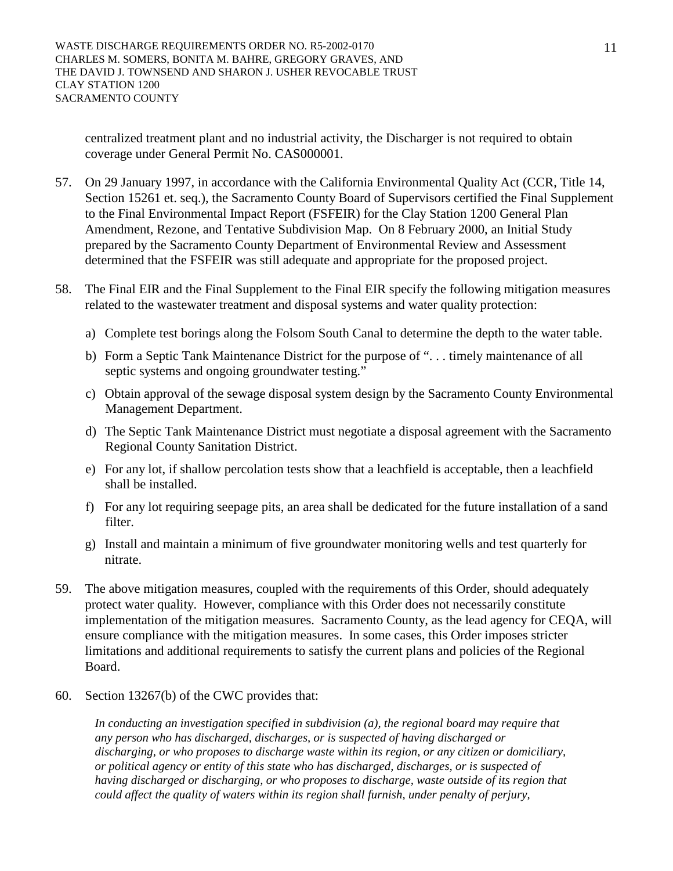centralized treatment plant and no industrial activity, the Discharger is not required to obtain coverage under General Permit No. CAS000001.

- 57. On 29 January 1997, in accordance with the California Environmental Quality Act (CCR, Title 14, Section 15261 et. seq.), the Sacramento County Board of Supervisors certified the Final Supplement to the Final Environmental Impact Report (FSFEIR) for the Clay Station 1200 General Plan Amendment, Rezone, and Tentative Subdivision Map. On 8 February 2000, an Initial Study prepared by the Sacramento County Department of Environmental Review and Assessment determined that the FSFEIR was still adequate and appropriate for the proposed project.
- 58. The Final EIR and the Final Supplement to the Final EIR specify the following mitigation measures related to the wastewater treatment and disposal systems and water quality protection:
	- a) Complete test borings along the Folsom South Canal to determine the depth to the water table.
	- b) Form a Septic Tank Maintenance District for the purpose of ". . . timely maintenance of all septic systems and ongoing groundwater testing."
	- c) Obtain approval of the sewage disposal system design by the Sacramento County Environmental Management Department.
	- d) The Septic Tank Maintenance District must negotiate a disposal agreement with the Sacramento Regional County Sanitation District.
	- e) For any lot, if shallow percolation tests show that a leachfield is acceptable, then a leachfield shall be installed.
	- f) For any lot requiring seepage pits, an area shall be dedicated for the future installation of a sand filter.
	- g) Install and maintain a minimum of five groundwater monitoring wells and test quarterly for nitrate.
- 59. The above mitigation measures, coupled with the requirements of this Order, should adequately protect water quality. However, compliance with this Order does not necessarily constitute implementation of the mitigation measures. Sacramento County, as the lead agency for CEQA, will ensure compliance with the mitigation measures. In some cases, this Order imposes stricter limitations and additional requirements to satisfy the current plans and policies of the Regional Board.
- 60. Section 13267(b) of the CWC provides that:

*In conducting an investigation specified in subdivision (a), the regional board may require that any person who has discharged, discharges, or is suspected of having discharged or discharging, or who proposes to discharge waste within its region, or any citizen or domiciliary, or political agency or entity of this state who has discharged, discharges, or is suspected of having discharged or discharging, or who proposes to discharge, waste outside of its region that could affect the quality of waters within its region shall furnish, under penalty of perjury,*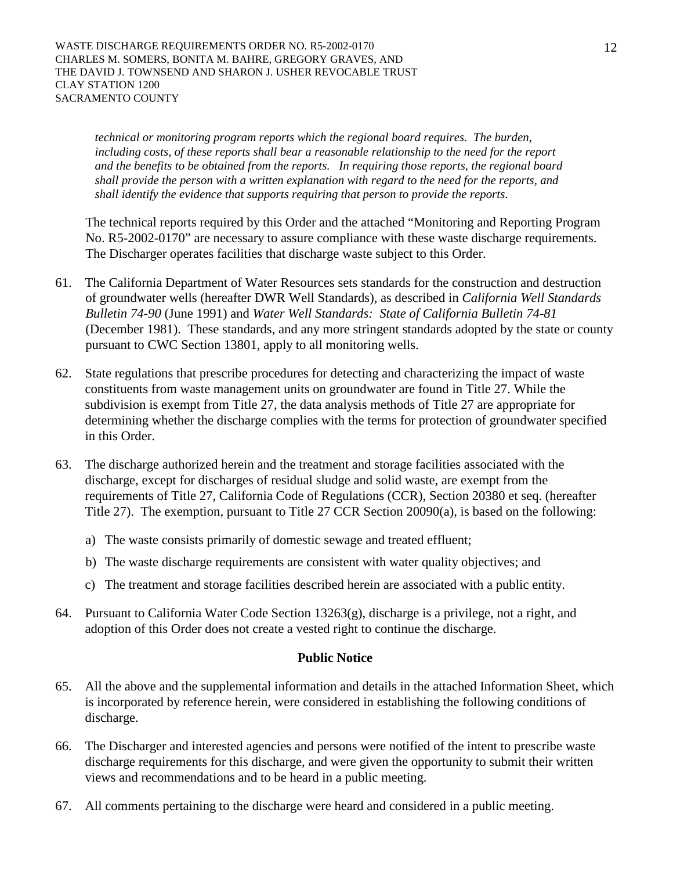*technical or monitoring program reports which the regional board requires. The burden, including costs, of these reports shall bear a reasonable relationship to the need for the report and the benefits to be obtained from the reports. In requiring those reports, the regional board shall provide the person with a written explanation with regard to the need for the reports, and shall identify the evidence that supports requiring that person to provide the reports*.

The technical reports required by this Order and the attached "Monitoring and Reporting Program No. R5-2002-0170" are necessary to assure compliance with these waste discharge requirements. The Discharger operates facilities that discharge waste subject to this Order.

- 61. The California Department of Water Resources sets standards for the construction and destruction of groundwater wells (hereafter DWR Well Standards), as described in *California Well Standards Bulletin 74-90* (June 1991) and *Water Well Standards: State of California Bulletin 74-81* (December 1981). These standards, and any more stringent standards adopted by the state or county pursuant to CWC Section 13801, apply to all monitoring wells.
- 62. State regulations that prescribe procedures for detecting and characterizing the impact of waste constituents from waste management units on groundwater are found in Title 27. While the subdivision is exempt from Title 27, the data analysis methods of Title 27 are appropriate for determining whether the discharge complies with the terms for protection of groundwater specified in this Order.
- 63. The discharge authorized herein and the treatment and storage facilities associated with the discharge, except for discharges of residual sludge and solid waste, are exempt from the requirements of Title 27, California Code of Regulations (CCR), Section 20380 et seq. (hereafter Title 27). The exemption, pursuant to Title 27 CCR Section 20090(a), is based on the following:
	- a) The waste consists primarily of domestic sewage and treated effluent;
	- b) The waste discharge requirements are consistent with water quality objectives; and
	- c) The treatment and storage facilities described herein are associated with a public entity.
- 64. Pursuant to California Water Code Section 13263(g), discharge is a privilege, not a right, and adoption of this Order does not create a vested right to continue the discharge.

## **Public Notice**

- 65. All the above and the supplemental information and details in the attached Information Sheet, which is incorporated by reference herein, were considered in establishing the following conditions of discharge.
- 66. The Discharger and interested agencies and persons were notified of the intent to prescribe waste discharge requirements for this discharge, and were given the opportunity to submit their written views and recommendations and to be heard in a public meeting.
- 67. All comments pertaining to the discharge were heard and considered in a public meeting.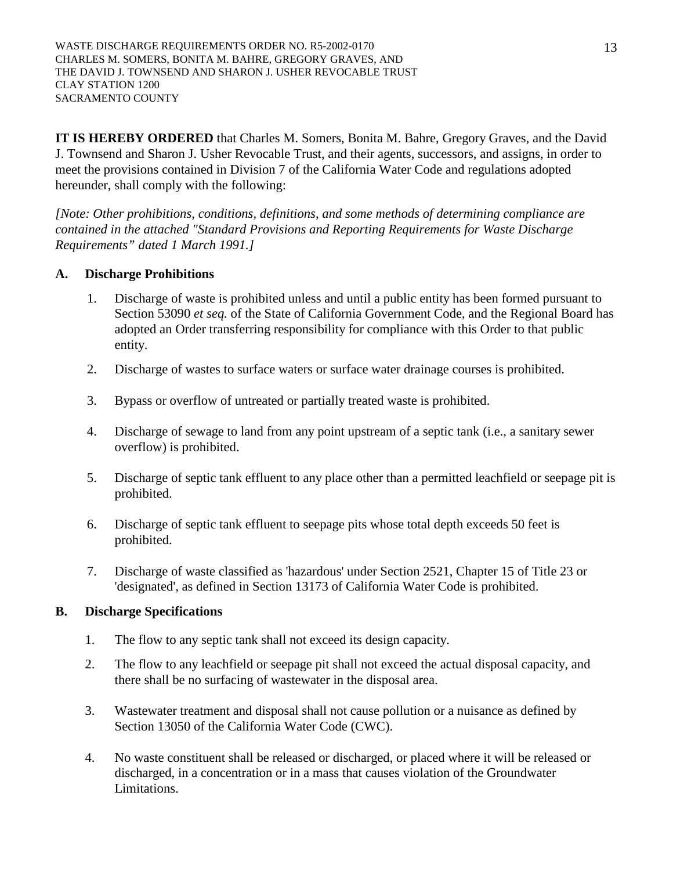WASTE DISCHARGE REQUIREMENTS ORDER NO. R5-2002-0170 CHARLES M. SOMERS, BONITA M. BAHRE, GREGORY GRAVES, AND THE DAVID J. TOWNSEND AND SHARON J. USHER REVOCABLE TRUST CLAY STATION 1200 SACRAMENTO COUNTY

**IT IS HEREBY ORDERED** that Charles M. Somers, Bonita M. Bahre, Gregory Graves, and the David J. Townsend and Sharon J. Usher Revocable Trust, and their agents, successors, and assigns, in order to meet the provisions contained in Division 7 of the California Water Code and regulations adopted hereunder, shall comply with the following:

*[Note: Other prohibitions, conditions, definitions, and some methods of determining compliance are contained in the attached "Standard Provisions and Reporting Requirements for Waste Discharge Requirements" dated 1 March 1991.]*

## **A. Discharge Prohibitions**

- 1. Discharge of waste is prohibited unless and until a public entity has been formed pursuant to Section 53090 *et seq.* of the State of California Government Code, and the Regional Board has adopted an Order transferring responsibility for compliance with this Order to that public entity.
- 2. Discharge of wastes to surface waters or surface water drainage courses is prohibited.
- 3. Bypass or overflow of untreated or partially treated waste is prohibited.
- 4. Discharge of sewage to land from any point upstream of a septic tank (i.e., a sanitary sewer overflow) is prohibited.
- 5. Discharge of septic tank effluent to any place other than a permitted leachfield or seepage pit is prohibited.
- 6. Discharge of septic tank effluent to seepage pits whose total depth exceeds 50 feet is prohibited.
- 7. Discharge of waste classified as 'hazardous' under Section 2521, Chapter 15 of Title 23 or 'designated', as defined in Section 13173 of California Water Code is prohibited.

## **B. Discharge Specifications**

- 1. The flow to any septic tank shall not exceed its design capacity.
- 2. The flow to any leachfield or seepage pit shall not exceed the actual disposal capacity, and there shall be no surfacing of wastewater in the disposal area.
- 3. Wastewater treatment and disposal shall not cause pollution or a nuisance as defined by Section 13050 of the California Water Code (CWC).
- 4. No waste constituent shall be released or discharged, or placed where it will be released or discharged, in a concentration or in a mass that causes violation of the Groundwater Limitations.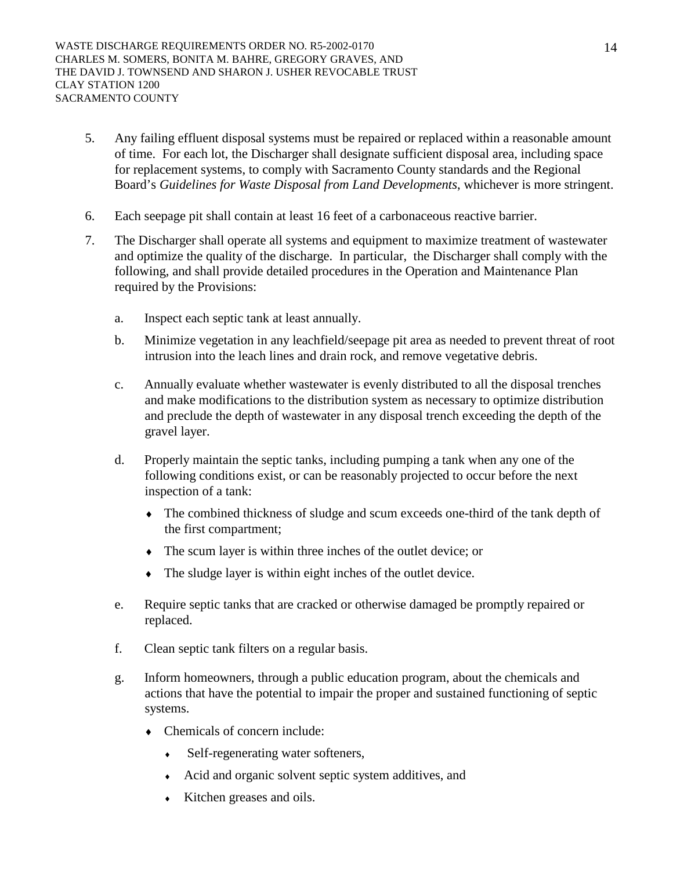- 5. Any failing effluent disposal systems must be repaired or replaced within a reasonable amount of time. For each lot, the Discharger shall designate sufficient disposal area, including space for replacement systems, to comply with Sacramento County standards and the Regional Board's *Guidelines for Waste Disposal from Land Developments*, whichever is more stringent.
- 6. Each seepage pit shall contain at least 16 feet of a carbonaceous reactive barrier.
- 7. The Discharger shall operate all systems and equipment to maximize treatment of wastewater and optimize the quality of the discharge. In particular, the Discharger shall comply with the following, and shall provide detailed procedures in the Operation and Maintenance Plan required by the Provisions:
	- a. Inspect each septic tank at least annually.
	- b. Minimize vegetation in any leachfield/seepage pit area as needed to prevent threat of root intrusion into the leach lines and drain rock, and remove vegetative debris.
	- c. Annually evaluate whether wastewater is evenly distributed to all the disposal trenches and make modifications to the distribution system as necessary to optimize distribution and preclude the depth of wastewater in any disposal trench exceeding the depth of the gravel layer.
	- d. Properly maintain the septic tanks, including pumping a tank when any one of the following conditions exist, or can be reasonably projected to occur before the next inspection of a tank:
		- ♦ The combined thickness of sludge and scum exceeds one-third of the tank depth of the first compartment;
		- ♦ The scum layer is within three inches of the outlet device; or
		- ♦ The sludge layer is within eight inches of the outlet device.
	- e. Require septic tanks that are cracked or otherwise damaged be promptly repaired or replaced.
	- f. Clean septic tank filters on a regular basis.
	- g. Inform homeowners, through a public education program, about the chemicals and actions that have the potential to impair the proper and sustained functioning of septic systems.
		- Chemicals of concern include:
			- Self-regenerating water softeners,
			- ♦ Acid and organic solvent septic system additives, and
			- ♦ Kitchen greases and oils.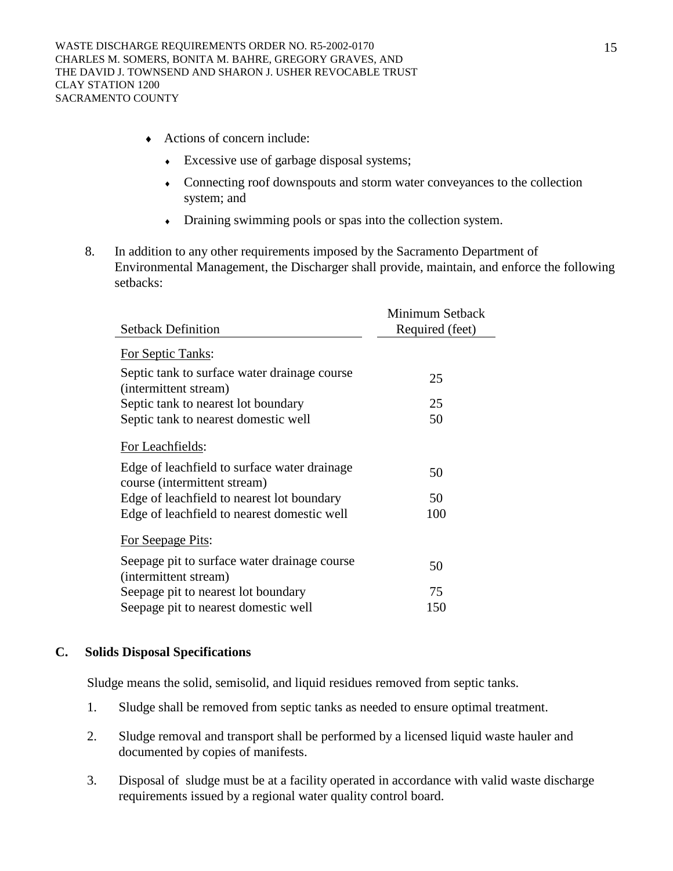- ♦ Actions of concern include:
	- ♦ Excessive use of garbage disposal systems;
	- ♦ Connecting roof downspouts and storm water conveyances to the collection system; and
	- ♦ Draining swimming pools or spas into the collection system.
- 8. In addition to any other requirements imposed by the Sacramento Department of Environmental Management, the Discharger shall provide, maintain, and enforce the following setbacks:

|                                                                              | Minimum Setback |
|------------------------------------------------------------------------------|-----------------|
| <b>Setback Definition</b>                                                    | Required (feet) |
| For Septic Tanks:                                                            |                 |
| Septic tank to surface water drainage course<br>(intermittent stream)        | 25              |
| Septic tank to nearest lot boundary                                          | 25              |
| Septic tank to nearest domestic well                                         | 50              |
| For Leachfields:                                                             |                 |
| Edge of leachfield to surface water drainage<br>course (intermittent stream) | 50              |
| Edge of leachfield to nearest lot boundary                                   | 50              |
| Edge of leachfield to nearest domestic well                                  | 100             |
| For Seepage Pits:                                                            |                 |
| Seepage pit to surface water drainage course<br>(intermittent stream)        | 50              |
| Seepage pit to nearest lot boundary                                          | 75              |
| Seepage pit to nearest domestic well                                         | 150             |

## **C. Solids Disposal Specifications**

Sludge means the solid, semisolid, and liquid residues removed from septic tanks.

- 1. Sludge shall be removed from septic tanks as needed to ensure optimal treatment.
- 2. Sludge removal and transport shall be performed by a licensed liquid waste hauler and documented by copies of manifests.
- 3. Disposal of sludge must be at a facility operated in accordance with valid waste discharge requirements issued by a regional water quality control board.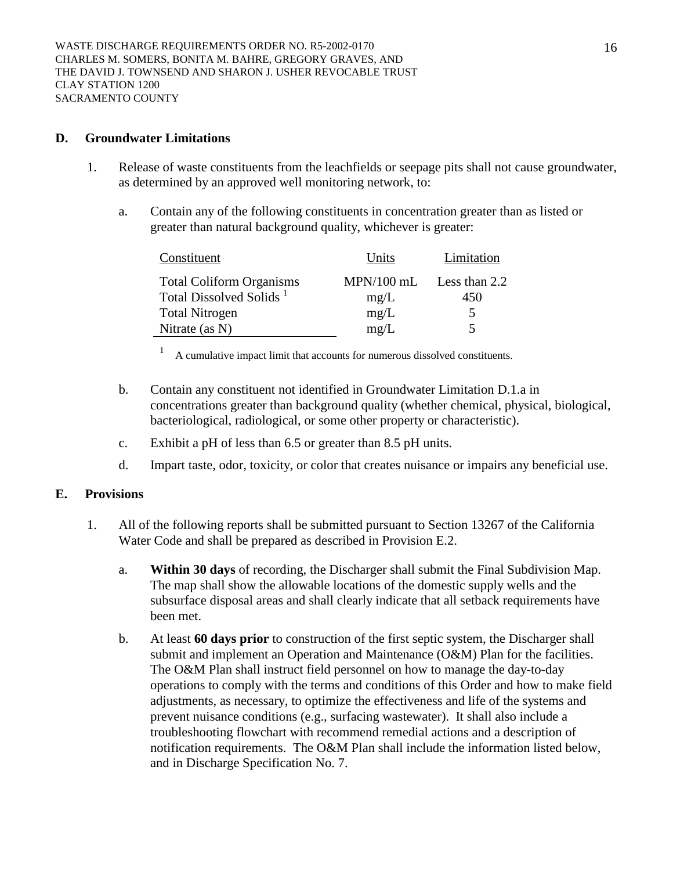### **D. Groundwater Limitations**

- 1. Release of waste constituents from the leachfields or seepage pits shall not cause groundwater, as determined by an approved well monitoring network, to:
	- a. Contain any of the following constituents in concentration greater than as listed or greater than natural background quality, whichever is greater:

| Constituent                         | Units        | Limitation    |
|-------------------------------------|--------------|---------------|
| <b>Total Coliform Organisms</b>     | $MPN/100$ mL | Less than 2.2 |
| Total Dissolved Solids <sup>1</sup> | mg/L         | 450           |
| <b>Total Nitrogen</b>               | mg/L         | 5.            |
| Nitrate (as $N$ )                   | mg/L         | 5             |

1 A cumulative impact limit that accounts for numerous dissolved constituents.

- b. Contain any constituent not identified in Groundwater Limitation D.1.a in concentrations greater than background quality (whether chemical, physical, biological, bacteriological, radiological, or some other property or characteristic).
- c. Exhibit a pH of less than 6.5 or greater than 8.5 pH units.
- d. Impart taste, odor, toxicity, or color that creates nuisance or impairs any beneficial use.

## **E. Provisions**

- 1. All of the following reports shall be submitted pursuant to Section 13267 of the California Water Code and shall be prepared as described in Provision E.2.
	- a. **Within 30 days** of recording, the Discharger shall submit the Final Subdivision Map. The map shall show the allowable locations of the domestic supply wells and the subsurface disposal areas and shall clearly indicate that all setback requirements have been met.
	- b. At least **60 days prior** to construction of the first septic system, the Discharger shall submit and implement an Operation and Maintenance (O&M) Plan for the facilities. The O&M Plan shall instruct field personnel on how to manage the day-to-day operations to comply with the terms and conditions of this Order and how to make field adjustments, as necessary, to optimize the effectiveness and life of the systems and prevent nuisance conditions (e.g., surfacing wastewater). It shall also include a troubleshooting flowchart with recommend remedial actions and a description of notification requirements. The O&M Plan shall include the information listed below, and in Discharge Specification No. 7.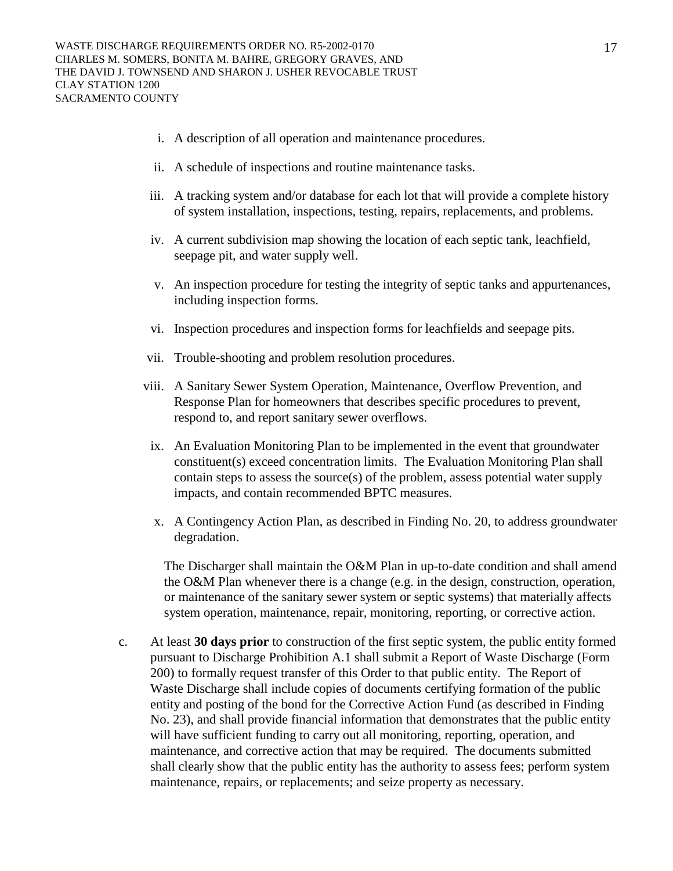- i. A description of all operation and maintenance procedures.
- ii. A schedule of inspections and routine maintenance tasks.
- iii. A tracking system and/or database for each lot that will provide a complete history of system installation, inspections, testing, repairs, replacements, and problems.
- iv. A current subdivision map showing the location of each septic tank, leachfield, seepage pit, and water supply well.
- v. An inspection procedure for testing the integrity of septic tanks and appurtenances, including inspection forms.
- vi. Inspection procedures and inspection forms for leachfields and seepage pits.
- vii. Trouble-shooting and problem resolution procedures.
- viii. A Sanitary Sewer System Operation, Maintenance, Overflow Prevention, and Response Plan for homeowners that describes specific procedures to prevent, respond to, and report sanitary sewer overflows.
- ix. An Evaluation Monitoring Plan to be implemented in the event that groundwater constituent(s) exceed concentration limits. The Evaluation Monitoring Plan shall contain steps to assess the source(s) of the problem, assess potential water supply impacts, and contain recommended BPTC measures.
- x. A Contingency Action Plan, as described in Finding No. 20, to address groundwater degradation.

The Discharger shall maintain the O&M Plan in up-to-date condition and shall amend the O&M Plan whenever there is a change (e.g. in the design, construction, operation, or maintenance of the sanitary sewer system or septic systems) that materially affects system operation, maintenance, repair, monitoring, reporting, or corrective action.

c. At least **30 days prior** to construction of the first septic system, the public entity formed pursuant to Discharge Prohibition A.1 shall submit a Report of Waste Discharge (Form 200) to formally request transfer of this Order to that public entity. The Report of Waste Discharge shall include copies of documents certifying formation of the public entity and posting of the bond for the Corrective Action Fund (as described in Finding No. 23), and shall provide financial information that demonstrates that the public entity will have sufficient funding to carry out all monitoring, reporting, operation, and maintenance, and corrective action that may be required. The documents submitted shall clearly show that the public entity has the authority to assess fees; perform system maintenance, repairs, or replacements; and seize property as necessary.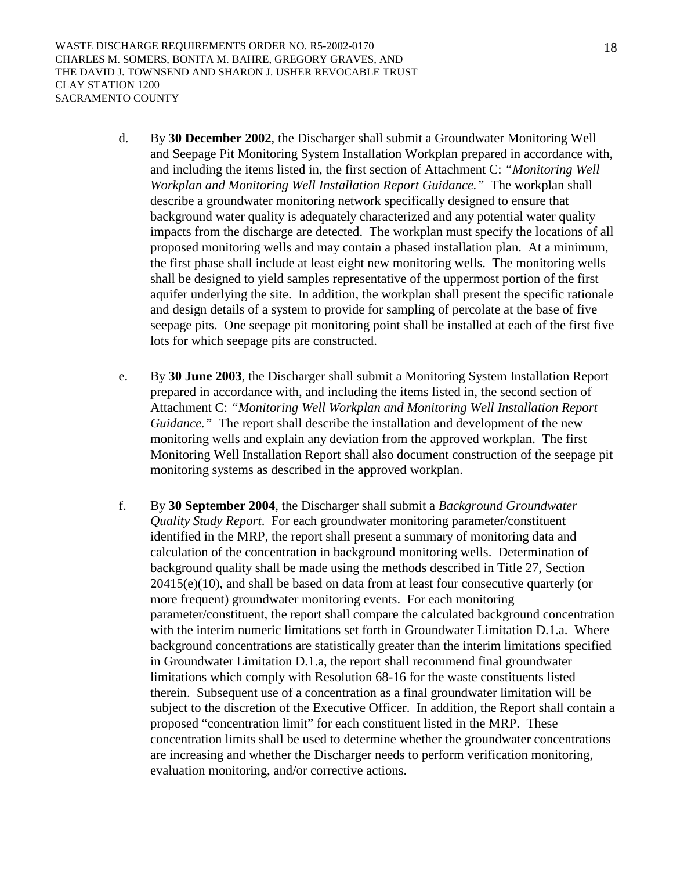WASTE DISCHARGE REQUIREMENTS ORDER NO. R5-2002-0170 CHARLES M. SOMERS, BONITA M. BAHRE, GREGORY GRAVES, AND THE DAVID J. TOWNSEND AND SHARON J. USHER REVOCABLE TRUST CLAY STATION 1200 SACRAMENTO COUNTY

- d. By **30 December 2002**, the Discharger shall submit a Groundwater Monitoring Well and Seepage Pit Monitoring System Installation Workplan prepared in accordance with, and including the items listed in, the first section of Attachment C: *"Monitoring Well Workplan and Monitoring Well Installation Report Guidance."* The workplan shall describe a groundwater monitoring network specifically designed to ensure that background water quality is adequately characterized and any potential water quality impacts from the discharge are detected. The workplan must specify the locations of all proposed monitoring wells and may contain a phased installation plan. At a minimum, the first phase shall include at least eight new monitoring wells. The monitoring wells shall be designed to yield samples representative of the uppermost portion of the first aquifer underlying the site. In addition, the workplan shall present the specific rationale and design details of a system to provide for sampling of percolate at the base of five seepage pits. One seepage pit monitoring point shall be installed at each of the first five lots for which seepage pits are constructed.
- e. By **30 June 2003**, the Discharger shall submit a Monitoring System Installation Report prepared in accordance with, and including the items listed in, the second section of Attachment C: *"Monitoring Well Workplan and Monitoring Well Installation Report Guidance."* The report shall describe the installation and development of the new monitoring wells and explain any deviation from the approved workplan. The first Monitoring Well Installation Report shall also document construction of the seepage pit monitoring systems as described in the approved workplan.
- f. By **30 September 2004**, the Discharger shall submit a *Background Groundwater Quality Study Report*. For each groundwater monitoring parameter/constituent identified in the MRP, the report shall present a summary of monitoring data and calculation of the concentration in background monitoring wells. Determination of background quality shall be made using the methods described in Title 27, Section 20415(e)(10), and shall be based on data from at least four consecutive quarterly (or more frequent) groundwater monitoring events. For each monitoring parameter/constituent, the report shall compare the calculated background concentration with the interim numeric limitations set forth in Groundwater Limitation D.1.a. Where background concentrations are statistically greater than the interim limitations specified in Groundwater Limitation D.1.a, the report shall recommend final groundwater limitations which comply with Resolution 68-16 for the waste constituents listed therein. Subsequent use of a concentration as a final groundwater limitation will be subject to the discretion of the Executive Officer. In addition, the Report shall contain a proposed "concentration limit" for each constituent listed in the MRP. These concentration limits shall be used to determine whether the groundwater concentrations are increasing and whether the Discharger needs to perform verification monitoring, evaluation monitoring, and/or corrective actions.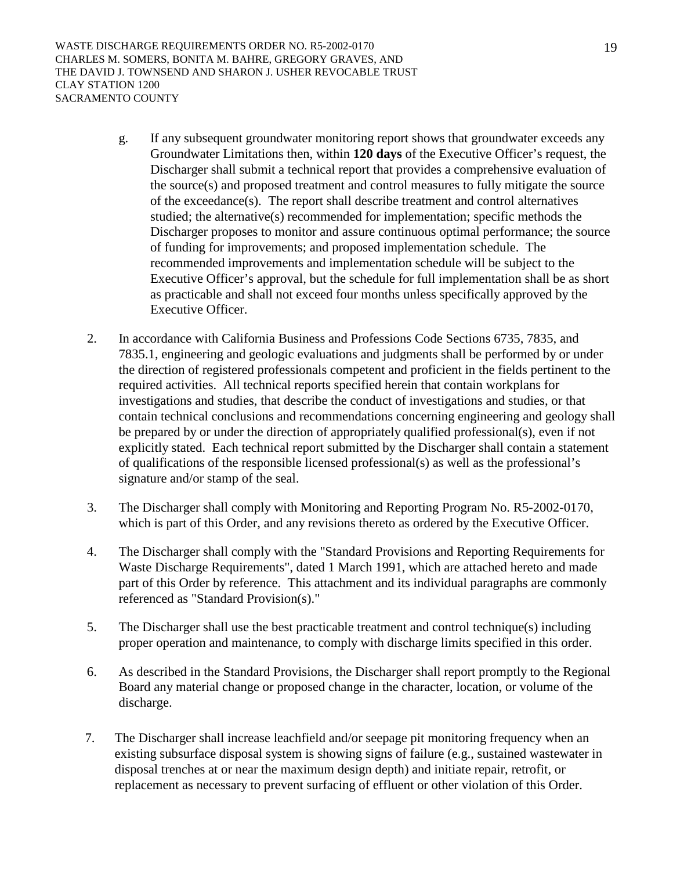WASTE DISCHARGE REQUIREMENTS ORDER NO. R5-2002-0170 CHARLES M. SOMERS, BONITA M. BAHRE, GREGORY GRAVES, AND THE DAVID J. TOWNSEND AND SHARON J. USHER REVOCABLE TRUST CLAY STATION 1200 SACRAMENTO COUNTY

- g. If any subsequent groundwater monitoring report shows that groundwater exceeds any Groundwater Limitations then, within **120 days** of the Executive Officer's request, the Discharger shall submit a technical report that provides a comprehensive evaluation of the source(s) and proposed treatment and control measures to fully mitigate the source of the exceedance(s). The report shall describe treatment and control alternatives studied; the alternative(s) recommended for implementation; specific methods the Discharger proposes to monitor and assure continuous optimal performance; the source of funding for improvements; and proposed implementation schedule. The recommended improvements and implementation schedule will be subject to the Executive Officer's approval, but the schedule for full implementation shall be as short as practicable and shall not exceed four months unless specifically approved by the Executive Officer.
- 2. In accordance with California Business and Professions Code Sections 6735, 7835, and 7835.1, engineering and geologic evaluations and judgments shall be performed by or under the direction of registered professionals competent and proficient in the fields pertinent to the required activities. All technical reports specified herein that contain workplans for investigations and studies, that describe the conduct of investigations and studies, or that contain technical conclusions and recommendations concerning engineering and geology shall be prepared by or under the direction of appropriately qualified professional(s), even if not explicitly stated. Each technical report submitted by the Discharger shall contain a statement of qualifications of the responsible licensed professional(s) as well as the professional's signature and/or stamp of the seal.
- 3. The Discharger shall comply with Monitoring and Reporting Program No. R5-2002-0170, which is part of this Order, and any revisions thereto as ordered by the Executive Officer.
- 4. The Discharger shall comply with the "Standard Provisions and Reporting Requirements for Waste Discharge Requirements", dated 1 March 1991, which are attached hereto and made part of this Order by reference. This attachment and its individual paragraphs are commonly referenced as "Standard Provision(s)."
- 5. The Discharger shall use the best practicable treatment and control technique(s) including proper operation and maintenance, to comply with discharge limits specified in this order.
- 6. As described in the Standard Provisions, the Discharger shall report promptly to the Regional Board any material change or proposed change in the character, location, or volume of the discharge.
- 7. The Discharger shall increase leachfield and/or seepage pit monitoring frequency when an existing subsurface disposal system is showing signs of failure (e.g., sustained wastewater in disposal trenches at or near the maximum design depth) and initiate repair, retrofit, or replacement as necessary to prevent surfacing of effluent or other violation of this Order.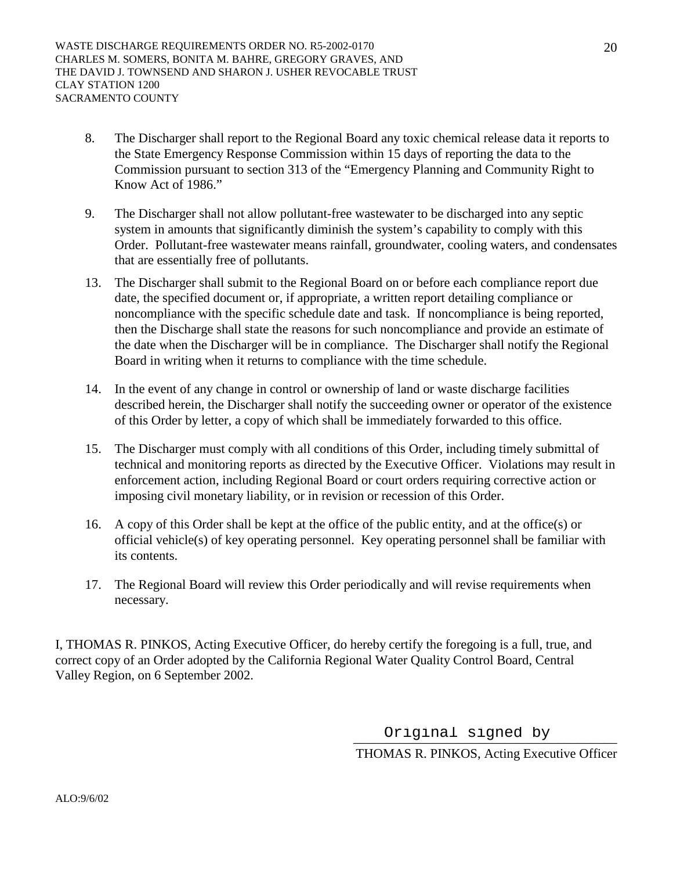- 8. The Discharger shall report to the Regional Board any toxic chemical release data it reports to the State Emergency Response Commission within 15 days of reporting the data to the Commission pursuant to section 313 of the "Emergency Planning and Community Right to Know Act of 1986."
- 9. The Discharger shall not allow pollutant-free wastewater to be discharged into any septic system in amounts that significantly diminish the system's capability to comply with this Order. Pollutant-free wastewater means rainfall, groundwater, cooling waters, and condensates that are essentially free of pollutants.
- 13. The Discharger shall submit to the Regional Board on or before each compliance report due date, the specified document or, if appropriate, a written report detailing compliance or noncompliance with the specific schedule date and task. If noncompliance is being reported, then the Discharge shall state the reasons for such noncompliance and provide an estimate of the date when the Discharger will be in compliance. The Discharger shall notify the Regional Board in writing when it returns to compliance with the time schedule.
- 14. In the event of any change in control or ownership of land or waste discharge facilities described herein, the Discharger shall notify the succeeding owner or operator of the existence of this Order by letter, a copy of which shall be immediately forwarded to this office.
- 15. The Discharger must comply with all conditions of this Order, including timely submittal of technical and monitoring reports as directed by the Executive Officer. Violations may result in enforcement action, including Regional Board or court orders requiring corrective action or imposing civil monetary liability, or in revision or recession of this Order.
- 16. A copy of this Order shall be kept at the office of the public entity, and at the office(s) or official vehicle(s) of key operating personnel. Key operating personnel shall be familiar with its contents.
- 17. The Regional Board will review this Order periodically and will revise requirements when necessary.

I, THOMAS R. PINKOS, Acting Executive Officer, do hereby certify the foregoing is a full, true, and correct copy of an Order adopted by the California Regional Water Quality Control Board, Central Valley Region, on 6 September 2002.

> \_\_\_\_\_\_\_\_\_\_\_\_\_\_\_\_\_\_\_\_\_\_\_\_\_\_\_\_\_\_\_\_\_\_\_\_\_\_\_\_ Original signed byTHOMAS R. PINKOS, Acting Executive Officer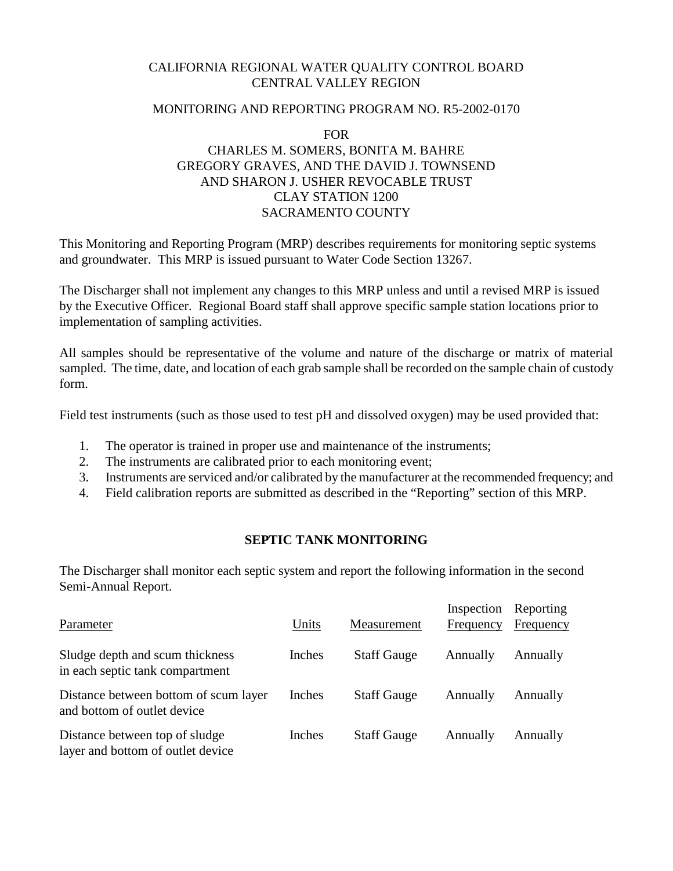# CALIFORNIA REGIONAL WATER QUALITY CONTROL BOARD CENTRAL VALLEY REGION

## MONITORING AND REPORTING PROGRAM NO. R5-2002-0170

# FOR CHARLES M. SOMERS, BONITA M. BAHRE GREGORY GRAVES, AND THE DAVID J. TOWNSEND AND SHARON J. USHER REVOCABLE TRUST CLAY STATION 1200 SACRAMENTO COUNTY

This Monitoring and Reporting Program (MRP) describes requirements for monitoring septic systems and groundwater. This MRP is issued pursuant to Water Code Section 13267.

The Discharger shall not implement any changes to this MRP unless and until a revised MRP is issued by the Executive Officer. Regional Board staff shall approve specific sample station locations prior to implementation of sampling activities.

All samples should be representative of the volume and nature of the discharge or matrix of material sampled. The time, date, and location of each grab sample shall be recorded on the sample chain of custody form.

Field test instruments (such as those used to test pH and dissolved oxygen) may be used provided that:

- 1. The operator is trained in proper use and maintenance of the instruments;
- 2. The instruments are calibrated prior to each monitoring event;
- 3. Instruments are serviced and/or calibrated by the manufacturer at the recommended frequency; and
- 4. Field calibration reports are submitted as described in the "Reporting" section of this MRP.

# **SEPTIC TANK MONITORING**

The Discharger shall monitor each septic system and report the following information in the second Semi-Annual Report.

| Parameter                                                            | Units  | Measurement        | Inspection<br>Frequency | Reporting<br>Frequency |
|----------------------------------------------------------------------|--------|--------------------|-------------------------|------------------------|
| Sludge depth and scum thickness<br>in each septic tank compartment   | Inches | <b>Staff Gauge</b> | Annually                | Annually               |
| Distance between bottom of scum layer<br>and bottom of outlet device | Inches | <b>Staff Gauge</b> | Annually                | Annually               |
| Distance between top of sludge<br>layer and bottom of outlet device  | Inches | <b>Staff Gauge</b> | Annually                | Annually               |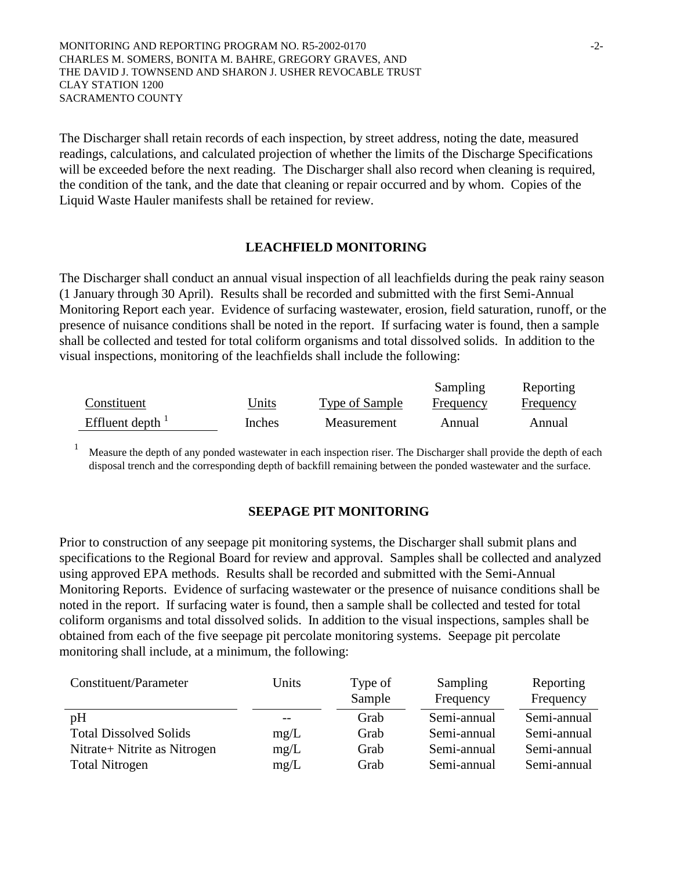MONITORING AND REPORTING PROGRAM NO. R5-2002-0170  $-2$ -CHARLES M. SOMERS, BONITA M. BAHRE, GREGORY GRAVES, AND THE DAVID J. TOWNSEND AND SHARON J. USHER REVOCABLE TRUST CLAY STATION 1200 SACRAMENTO COUNTY

The Discharger shall retain records of each inspection, by street address, noting the date, measured readings, calculations, and calculated projection of whether the limits of the Discharge Specifications will be exceeded before the next reading. The Discharger shall also record when cleaning is required, the condition of the tank, and the date that cleaning or repair occurred and by whom. Copies of the Liquid Waste Hauler manifests shall be retained for review.

### **LEACHFIELD MONITORING**

The Discharger shall conduct an annual visual inspection of all leachfields during the peak rainy season (1 January through 30 April). Results shall be recorded and submitted with the first Semi-Annual Monitoring Report each year. Evidence of surfacing wastewater, erosion, field saturation, runoff, or the presence of nuisance conditions shall be noted in the report. If surfacing water is found, then a sample shall be collected and tested for total coliform organisms and total dissolved solids. In addition to the visual inspections, monitoring of the leachfields shall include the following:

|                     |        |                | Sampling  | Reporting |
|---------------------|--------|----------------|-----------|-----------|
| Constituent         | Units  | Type of Sample | Frequency | Frequency |
| Effluent depth $^1$ | Inches | Measurement    | Annual    | Annual    |

<sup>1</sup> Measure the depth of any ponded wastewater in each inspection riser. The Discharger shall provide the depth of each disposal trench and the corresponding depth of backfill remaining between the ponded wastewater and the surface.

### **SEEPAGE PIT MONITORING**

Prior to construction of any seepage pit monitoring systems, the Discharger shall submit plans and specifications to the Regional Board for review and approval. Samples shall be collected and analyzed using approved EPA methods. Results shall be recorded and submitted with the Semi-Annual Monitoring Reports. Evidence of surfacing wastewater or the presence of nuisance conditions shall be noted in the report. If surfacing water is found, then a sample shall be collected and tested for total coliform organisms and total dissolved solids. In addition to the visual inspections, samples shall be obtained from each of the five seepage pit percolate monitoring systems. Seepage pit percolate monitoring shall include, at a minimum, the following:

| Constituent/Parameter         | Units | Type of<br>Sample | Sampling<br>Frequency | Reporting<br>Frequency |
|-------------------------------|-------|-------------------|-----------------------|------------------------|
| pH                            |       | Grab              | Semi-annual           | Semi-annual            |
| <b>Total Dissolved Solids</b> | mg/L  | Grab              | Semi-annual           | Semi-annual            |
| Nitrate+ Nitrite as Nitrogen  | mg/L  | Grab              | Semi-annual           | Semi-annual            |
| <b>Total Nitrogen</b>         | mg/L  | Grab              | Semi-annual           | Semi-annual            |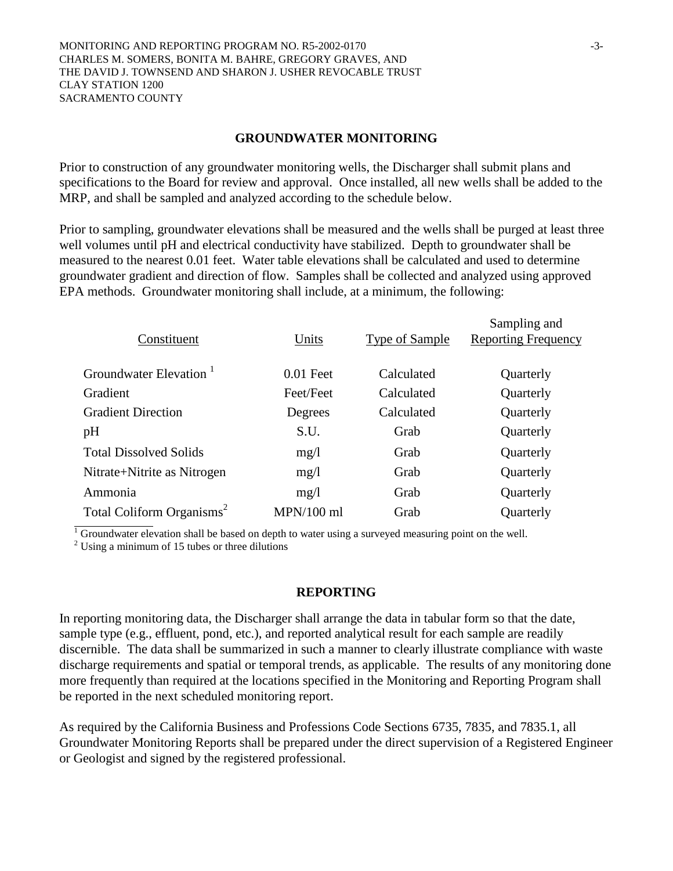MONITORING AND REPORTING PROGRAM NO. R5-2002-0170 CHARLES M. SOMERS, BONITA M. BAHRE, GREGORY GRAVES, AND THE DAVID J. TOWNSEND AND SHARON J. USHER REVOCABLE TRUST CLAY STATION 1200 SACRAMENTO COUNTY

#### **GROUNDWATER MONITORING**

Prior to construction of any groundwater monitoring wells, the Discharger shall submit plans and specifications to the Board for review and approval. Once installed, all new wells shall be added to the MRP, and shall be sampled and analyzed according to the schedule below.

Prior to sampling, groundwater elevations shall be measured and the wells shall be purged at least three well volumes until pH and electrical conductivity have stabilized. Depth to groundwater shall be measured to the nearest 0.01 feet. Water table elevations shall be calculated and used to determine groundwater gradient and direction of flow. Samples shall be collected and analyzed using approved EPA methods. Groundwater monitoring shall include, at a minimum, the following:

| Constituent                           | Units        | <b>Type of Sample</b> | Sampling and<br><b>Reporting Frequency</b> |
|---------------------------------------|--------------|-----------------------|--------------------------------------------|
| Groundwater Elevation <sup>1</sup>    | $0.01$ Feet  | Calculated            | Quarterly                                  |
| Gradient                              | Feet/Feet    | Calculated            | Quarterly                                  |
| <b>Gradient Direction</b>             | Degrees      | Calculated            | Quarterly                                  |
| pH                                    | S.U.         | Grab                  | Quarterly                                  |
| <b>Total Dissolved Solids</b>         | mg/1         | Grab                  | Quarterly                                  |
| Nitrate+Nitrite as Nitrogen           | mg/1         | Grab                  | Quarterly                                  |
| Ammonia                               | mg/1         | Grab                  | Quarterly                                  |
| Total Coliform Organisms <sup>2</sup> | $MPN/100$ ml | Grab                  | Quarterly                                  |

 $\frac{1}{1}$  Groundwater elevation shall be based on depth to water using a surveyed measuring point on the well.

 $2$  Using a minimum of 15 tubes or three dilutions

#### **REPORTING**

In reporting monitoring data, the Discharger shall arrange the data in tabular form so that the date, sample type (e.g., effluent, pond, etc.), and reported analytical result for each sample are readily discernible. The data shall be summarized in such a manner to clearly illustrate compliance with waste discharge requirements and spatial or temporal trends, as applicable. The results of any monitoring done more frequently than required at the locations specified in the Monitoring and Reporting Program shall be reported in the next scheduled monitoring report.

As required by the California Business and Professions Code Sections 6735, 7835, and 7835.1, all Groundwater Monitoring Reports shall be prepared under the direct supervision of a Registered Engineer or Geologist and signed by the registered professional.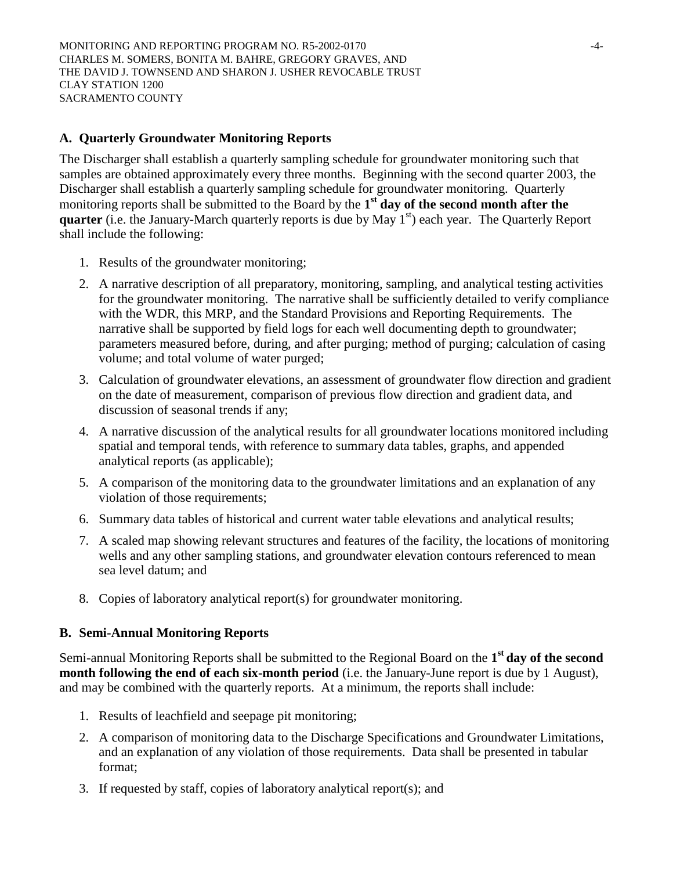## **A. Quarterly Groundwater Monitoring Reports**

The Discharger shall establish a quarterly sampling schedule for groundwater monitoring such that samples are obtained approximately every three months. Beginning with the second quarter 2003, the Discharger shall establish a quarterly sampling schedule for groundwater monitoring. Quarterly monitoring reports shall be submitted to the Board by the 1<sup>st</sup> day of the second month after the **quarter** (i.e. the January-March quarterly reports is due by May 1<sup>st</sup>) each year. The Quarterly Report shall include the following:

- 1. Results of the groundwater monitoring;
- 2. A narrative description of all preparatory, monitoring, sampling, and analytical testing activities for the groundwater monitoring. The narrative shall be sufficiently detailed to verify compliance with the WDR, this MRP, and the Standard Provisions and Reporting Requirements. The narrative shall be supported by field logs for each well documenting depth to groundwater; parameters measured before, during, and after purging; method of purging; calculation of casing volume; and total volume of water purged;
- 3. Calculation of groundwater elevations, an assessment of groundwater flow direction and gradient on the date of measurement, comparison of previous flow direction and gradient data, and discussion of seasonal trends if any;
- 4. A narrative discussion of the analytical results for all groundwater locations monitored including spatial and temporal tends, with reference to summary data tables, graphs, and appended analytical reports (as applicable);
- 5. A comparison of the monitoring data to the groundwater limitations and an explanation of any violation of those requirements;
- 6. Summary data tables of historical and current water table elevations and analytical results;
- 7. A scaled map showing relevant structures and features of the facility, the locations of monitoring wells and any other sampling stations, and groundwater elevation contours referenced to mean sea level datum; and
- 8. Copies of laboratory analytical report(s) for groundwater monitoring.

## **B. Semi-Annual Monitoring Reports**

Semi-annual Monitoring Reports shall be submitted to the Regional Board on the **1st day of the second month following the end of each six-month period** (i.e. the January-June report is due by 1 August), and may be combined with the quarterly reports. At a minimum, the reports shall include:

- 1. Results of leachfield and seepage pit monitoring;
- 2. A comparison of monitoring data to the Discharge Specifications and Groundwater Limitations, and an explanation of any violation of those requirements. Data shall be presented in tabular format;
- 3. If requested by staff, copies of laboratory analytical report(s); and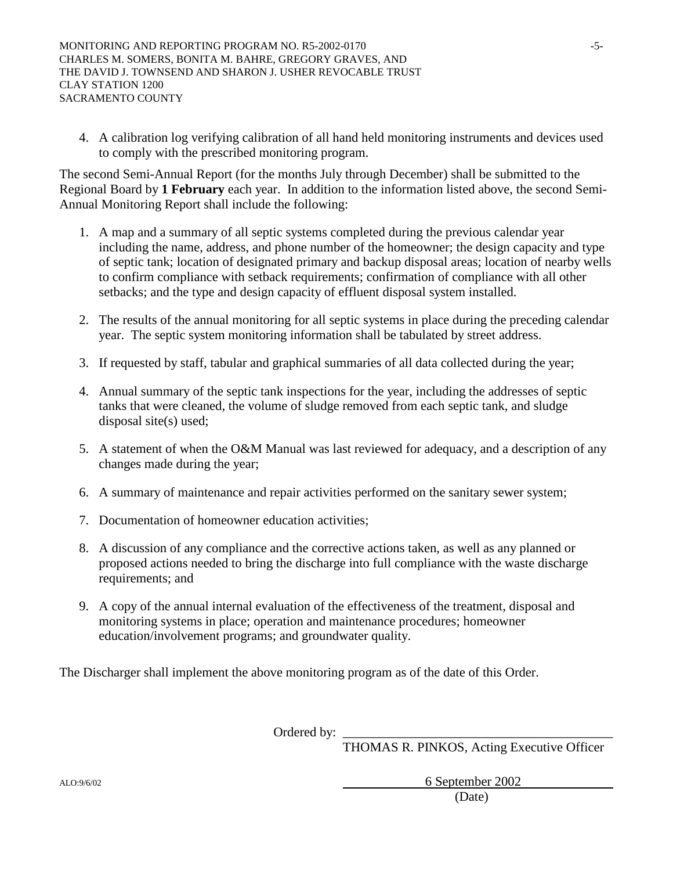4. A calibration log verifying calibration of all hand held monitoring instruments and devices used to comply with the prescribed monitoring program.

The second Semi-Annual Report (for the months July through December) shall be submitted to the Regional Board by **1 February** each year. In addition to the information listed above, the second Semi-Annual Monitoring Report shall include the following:

- 1. A map and a summary of all septic systems completed during the previous calendar year including the name, address, and phone number of the homeowner; the design capacity and type of septic tank; location of designated primary and backup disposal areas; location of nearby wells to confirm compliance with setback requirements; confirmation of compliance with all other setbacks; and the type and design capacity of effluent disposal system installed.
- 2. The results of the annual monitoring for all septic systems in place during the preceding calendar year. The septic system monitoring information shall be tabulated by street address.
- 3. If requested by staff, tabular and graphical summaries of all data collected during the year;
- 4. Annual summary of the septic tank inspections for the year, including the addresses of septic tanks that were cleaned, the volume of sludge removed from each septic tank, and sludge disposal site(s) used;
- 5. A statement of when the O&M Manual was last reviewed for adequacy, and a description of any changes made during the year;
- 6. A summary of maintenance and repair activities performed on the sanitary sewer system;
- 7. Documentation of homeowner education activities;
- 8. A discussion of any compliance and the corrective actions taken, as well as any planned or proposed actions needed to bring the discharge into full compliance with the waste discharge requirements; and
- 9. A copy of the annual internal evaluation of the effectiveness of the treatment, disposal and monitoring systems in place; operation and maintenance procedures; homeowner education/involvement programs; and groundwater quality.

The Discharger shall implement the above monitoring program as of the date of this Order.

Ordered by:

THOMAS R. PINKOS, Acting Executive Officer

ALO:9/6/02 6 September 2002 (Date)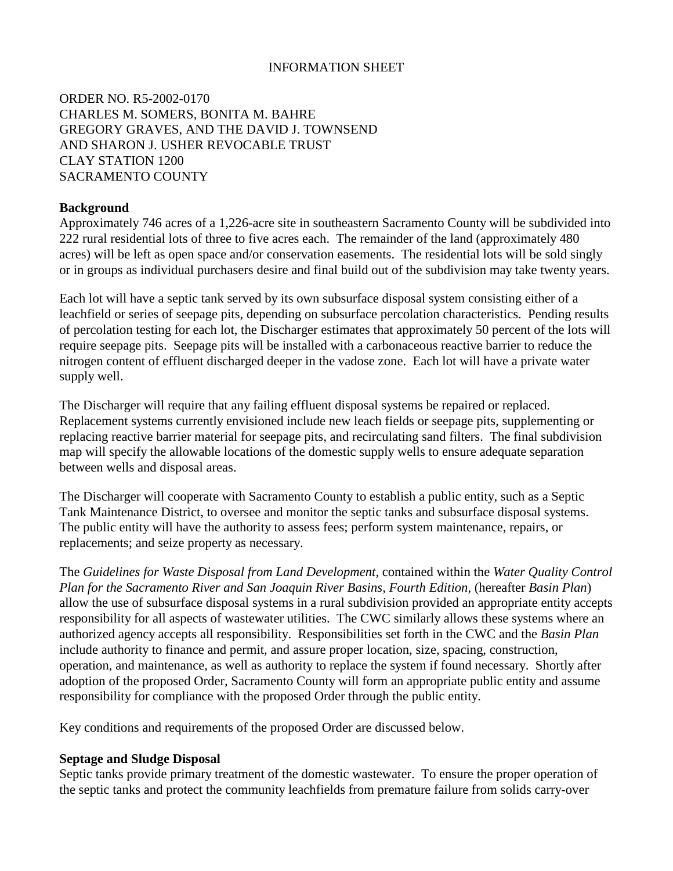## INFORMATION SHEET

ORDER NO. R5-2002-0170 CHARLES M. SOMERS, BONITA M. BAHRE GREGORY GRAVES, AND THE DAVID J. TOWNSEND AND SHARON J. USHER REVOCABLE TRUST CLAY STATION 1200 SACRAMENTO COUNTY

## **Background**

Approximately 746 acres of a 1,226-acre site in southeastern Sacramento County will be subdivided into 222 rural residential lots of three to five acres each. The remainder of the land (approximately 480 acres) will be left as open space and/or conservation easements. The residential lots will be sold singly or in groups as individual purchasers desire and final build out of the subdivision may take twenty years.

Each lot will have a septic tank served by its own subsurface disposal system consisting either of a leachfield or series of seepage pits, depending on subsurface percolation characteristics. Pending results of percolation testing for each lot, the Discharger estimates that approximately 50 percent of the lots will require seepage pits. Seepage pits will be installed with a carbonaceous reactive barrier to reduce the nitrogen content of effluent discharged deeper in the vadose zone. Each lot will have a private water supply well.

The Discharger will require that any failing effluent disposal systems be repaired or replaced. Replacement systems currently envisioned include new leach fields or seepage pits, supplementing or replacing reactive barrier material for seepage pits, and recirculating sand filters. The final subdivision map will specify the allowable locations of the domestic supply wells to ensure adequate separation between wells and disposal areas.

The Discharger will cooperate with Sacramento County to establish a public entity, such as a Septic Tank Maintenance District, to oversee and monitor the septic tanks and subsurface disposal systems. The public entity will have the authority to assess fees; perform system maintenance, repairs, or replacements; and seize property as necessary.

The *Guidelines for Waste Disposal from Land Development,* contained within the *Water Quality Control Plan for the Sacramento River and San Joaquin River Basins, Fourth Edition,* (hereafter *Basin Plan*) allow the use of subsurface disposal systems in a rural subdivision provided an appropriate entity accepts responsibility for all aspects of wastewater utilities. The CWC similarly allows these systems where an authorized agency accepts all responsibility. Responsibilities set forth in the CWC and the *Basin Plan* include authority to finance and permit, and assure proper location, size, spacing, construction, operation, and maintenance, as well as authority to replace the system if found necessary. Shortly after adoption of the proposed Order, Sacramento County will form an appropriate public entity and assume responsibility for compliance with the proposed Order through the public entity.

Key conditions and requirements of the proposed Order are discussed below.

## **Septage and Sludge Disposal**

Septic tanks provide primary treatment of the domestic wastewater. To ensure the proper operation of the septic tanks and protect the community leachfields from premature failure from solids carry-over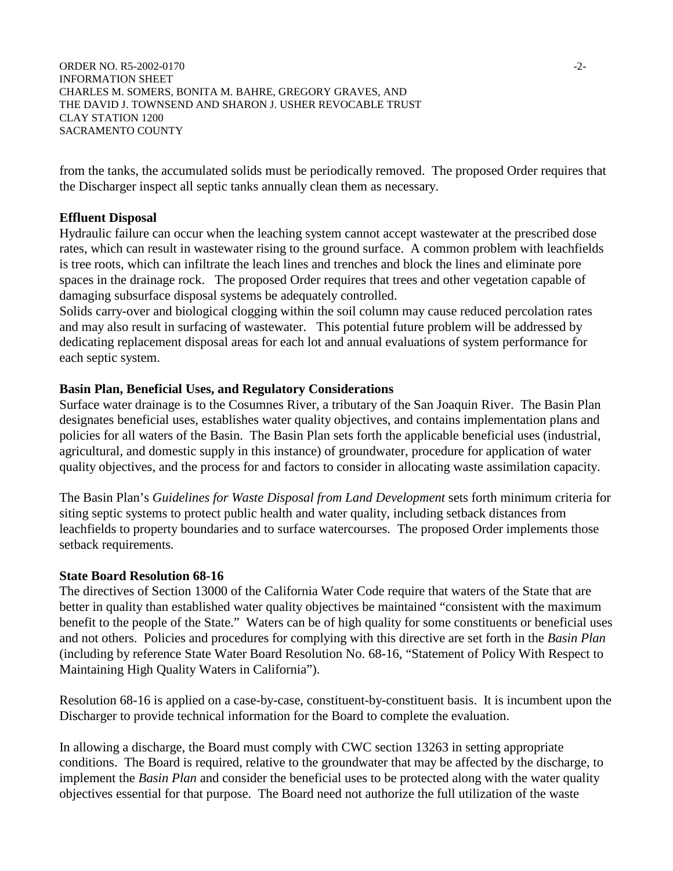ORDER NO. R5-2002-0170 -2-INFORMATION SHEET CHARLES M. SOMERS, BONITA M. BAHRE, GREGORY GRAVES, AND THE DAVID J. TOWNSEND AND SHARON J. USHER REVOCABLE TRUST CLAY STATION 1200 SACRAMENTO COUNTY

from the tanks, the accumulated solids must be periodically removed. The proposed Order requires that the Discharger inspect all septic tanks annually clean them as necessary.

## **Effluent Disposal**

Hydraulic failure can occur when the leaching system cannot accept wastewater at the prescribed dose rates, which can result in wastewater rising to the ground surface. A common problem with leachfields is tree roots, which can infiltrate the leach lines and trenches and block the lines and eliminate pore spaces in the drainage rock. The proposed Order requires that trees and other vegetation capable of damaging subsurface disposal systems be adequately controlled.

Solids carry-over and biological clogging within the soil column may cause reduced percolation rates and may also result in surfacing of wastewater. This potential future problem will be addressed by dedicating replacement disposal areas for each lot and annual evaluations of system performance for each septic system.

### **Basin Plan, Beneficial Uses, and Regulatory Considerations**

Surface water drainage is to the Cosumnes River, a tributary of the San Joaquin River. The Basin Plan designates beneficial uses, establishes water quality objectives, and contains implementation plans and policies for all waters of the Basin. The Basin Plan sets forth the applicable beneficial uses (industrial, agricultural, and domestic supply in this instance) of groundwater, procedure for application of water quality objectives, and the process for and factors to consider in allocating waste assimilation capacity.

The Basin Plan's *Guidelines for Waste Disposal from Land Development* sets forth minimum criteria for siting septic systems to protect public health and water quality, including setback distances from leachfields to property boundaries and to surface watercourses. The proposed Order implements those setback requirements*.*

### **State Board Resolution 68-16**

The directives of Section 13000 of the California Water Code require that waters of the State that are better in quality than established water quality objectives be maintained "consistent with the maximum benefit to the people of the State." Waters can be of high quality for some constituents or beneficial uses and not others. Policies and procedures for complying with this directive are set forth in the *Basin Plan* (including by reference State Water Board Resolution No. 68-16, "Statement of Policy With Respect to Maintaining High Quality Waters in California").

Resolution 68-16 is applied on a case-by-case, constituent-by-constituent basis. It is incumbent upon the Discharger to provide technical information for the Board to complete the evaluation.

In allowing a discharge, the Board must comply with CWC section 13263 in setting appropriate conditions. The Board is required, relative to the groundwater that may be affected by the discharge, to implement the *Basin Plan* and consider the beneficial uses to be protected along with the water quality objectives essential for that purpose. The Board need not authorize the full utilization of the waste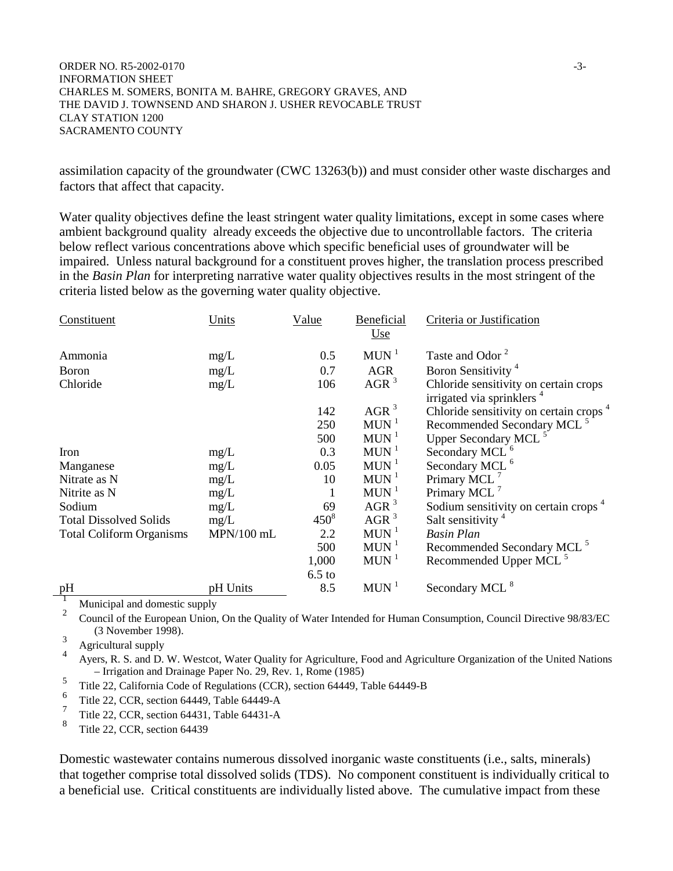ORDER NO. R5-2002-0170 -3-INFORMATION SHEET CHARLES M. SOMERS, BONITA M. BAHRE, GREGORY GRAVES, AND THE DAVID J. TOWNSEND AND SHARON J. USHER REVOCABLE TRUST CLAY STATION 1200 SACRAMENTO COUNTY

assimilation capacity of the groundwater (CWC 13263(b)) and must consider other waste discharges and factors that affect that capacity.

Water quality objectives define the least stringent water quality limitations, except in some cases where ambient background quality already exceeds the objective due to uncontrollable factors. The criteria below reflect various concentrations above which specific beneficial uses of groundwater will be impaired. Unless natural background for a constituent proves higher, the translation process prescribed in the *Basin Plan* for interpreting narrative water quality objectives results in the most stringent of the criteria listed below as the governing water quality objective.

| Constituent                     | Units        | Value     | Beneficial<br>Use  | Criteria or Justification                                                      |
|---------------------------------|--------------|-----------|--------------------|--------------------------------------------------------------------------------|
| Ammonia                         | mg/L         | 0.5       | $MUN$ <sup>1</sup> | Taste and Odor <sup>2</sup>                                                    |
| <b>Boron</b>                    | mg/L         | 0.7       | <b>AGR</b>         | Boron Sensitivity <sup>4</sup>                                                 |
| Chloride                        | mg/L         | 106       | AGR <sup>3</sup>   | Chloride sensitivity on certain crops<br>irrigated via sprinklers <sup>4</sup> |
|                                 |              | 142       | AGR <sup>3</sup>   | Chloride sensitivity on certain crops <sup>4</sup>                             |
|                                 |              | 250       | $MUN$ <sup>1</sup> | Recommended Secondary MCL <sup>5</sup>                                         |
|                                 |              | 500       | $MUN$ <sup>1</sup> | Upper Secondary MCL <sup>5</sup>                                               |
| Iron                            | mg/L         | 0.3       | $MUN$ <sup>1</sup> | Secondary MCL <sup>6</sup>                                                     |
| Manganese                       | mg/L         | 0.05      | $MUN$ <sup>1</sup> | Secondary MCL <sup>6</sup>                                                     |
| Nitrate as N                    | mg/L         | 10        | $MUN$ <sup>1</sup> | Primary MCL <sup>7</sup>                                                       |
| Nitrite as N                    | mg/L         |           | $MUN$ <sup>1</sup> | Primary MCL <sup>7</sup>                                                       |
| Sodium                          | mg/L         | 69        | AGR <sup>3</sup>   | Sodium sensitivity on certain crops <sup>4</sup>                               |
| <b>Total Dissolved Solids</b>   | mg/L         | $450^{8}$ | AGR <sup>3</sup>   | Salt sensitivity <sup>4</sup>                                                  |
| <b>Total Coliform Organisms</b> | $MPN/100$ mL | 2.2       | $MUN$ <sup>1</sup> | <b>Basin Plan</b>                                                              |
|                                 |              | 500       | $MUN$ <sup>1</sup> | Recommended Secondary MCL <sup>5</sup>                                         |
|                                 |              | 1,000     | $MUN$ <sup>1</sup> | Recommended Upper MCL <sup>5</sup>                                             |
|                                 |              | $6.5$ to  |                    |                                                                                |
| pH<br>.                         | pH Units     | 8.5       | $MUN$ <sup>1</sup> | Secondary MCL <sup>8</sup>                                                     |

<sup>1</sup> Municipal and domestic supply<br><sup>2</sup> Council of the European Union, On the Quality of Water Intended for Human Consumption, Council Directive 98/83/EC (3 November 1998).

<sup>3</sup> Agricultural supply<br><sup>4</sup> Ayers, R. S. and D. W. Westcot, Water Quality for Agriculture, Food and Agriculture Organization of the United Nations

– Irrigation and Drainage Paper No. 29, Rev. 1, Rome (1985)<br>
5 Title 22, California Code of Regulations (CCR), section 64449, Table 64449-B<br>
6 Title 65 Title 64449-B

<sup>6</sup> Title 22, CCR, section 64449, Table 64449-A

 $\frac{7}{8}$  Title 22, CCR, section 64431, Table 64431-A

Title 22, CCR, section 64439

Domestic wastewater contains numerous dissolved inorganic waste constituents (i.e., salts, minerals) that together comprise total dissolved solids (TDS). No component constituent is individually critical to a beneficial use. Critical constituents are individually listed above. The cumulative impact from these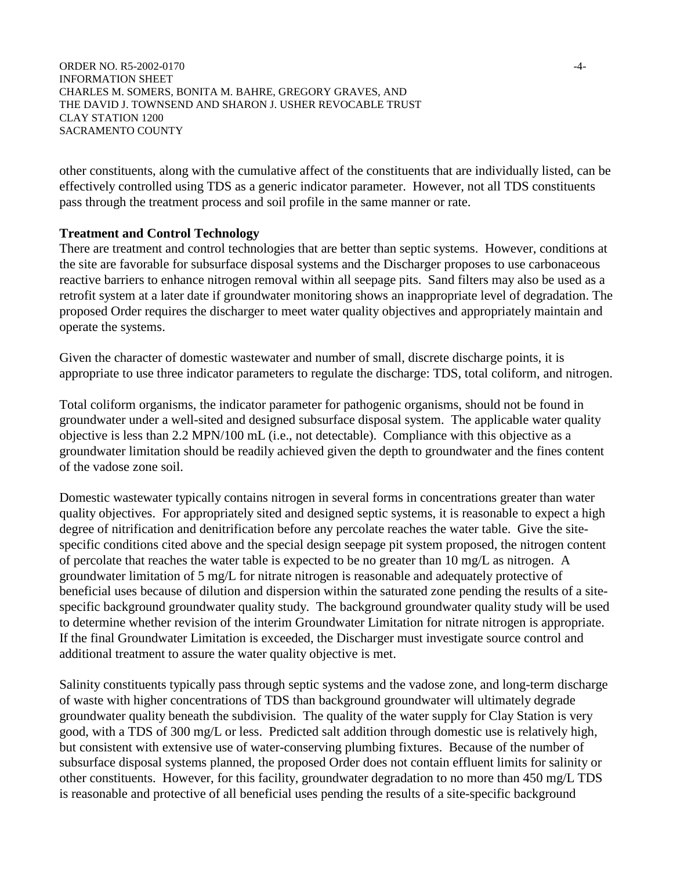ORDER NO. R5-2002-0170  $-4$ -INFORMATION SHEET CHARLES M. SOMERS, BONITA M. BAHRE, GREGORY GRAVES, AND THE DAVID J. TOWNSEND AND SHARON J. USHER REVOCABLE TRUST CLAY STATION 1200 SACRAMENTO COUNTY

other constituents, along with the cumulative affect of the constituents that are individually listed, can be effectively controlled using TDS as a generic indicator parameter. However, not all TDS constituents pass through the treatment process and soil profile in the same manner or rate.

### **Treatment and Control Technology**

There are treatment and control technologies that are better than septic systems. However, conditions at the site are favorable for subsurface disposal systems and the Discharger proposes to use carbonaceous reactive barriers to enhance nitrogen removal within all seepage pits. Sand filters may also be used as a retrofit system at a later date if groundwater monitoring shows an inappropriate level of degradation. The proposed Order requires the discharger to meet water quality objectives and appropriately maintain and operate the systems.

Given the character of domestic wastewater and number of small, discrete discharge points, it is appropriate to use three indicator parameters to regulate the discharge: TDS, total coliform, and nitrogen.

Total coliform organisms, the indicator parameter for pathogenic organisms, should not be found in groundwater under a well-sited and designed subsurface disposal system. The applicable water quality objective is less than 2.2 MPN/100 mL (i.e., not detectable). Compliance with this objective as a groundwater limitation should be readily achieved given the depth to groundwater and the fines content of the vadose zone soil.

Domestic wastewater typically contains nitrogen in several forms in concentrations greater than water quality objectives. For appropriately sited and designed septic systems, it is reasonable to expect a high degree of nitrification and denitrification before any percolate reaches the water table. Give the sitespecific conditions cited above and the special design seepage pit system proposed, the nitrogen content of percolate that reaches the water table is expected to be no greater than 10 mg/L as nitrogen. A groundwater limitation of 5 mg/L for nitrate nitrogen is reasonable and adequately protective of beneficial uses because of dilution and dispersion within the saturated zone pending the results of a sitespecific background groundwater quality study. The background groundwater quality study will be used to determine whether revision of the interim Groundwater Limitation for nitrate nitrogen is appropriate. If the final Groundwater Limitation is exceeded, the Discharger must investigate source control and additional treatment to assure the water quality objective is met.

Salinity constituents typically pass through septic systems and the vadose zone, and long-term discharge of waste with higher concentrations of TDS than background groundwater will ultimately degrade groundwater quality beneath the subdivision. The quality of the water supply for Clay Station is very good, with a TDS of 300 mg/L or less. Predicted salt addition through domestic use is relatively high, but consistent with extensive use of water-conserving plumbing fixtures. Because of the number of subsurface disposal systems planned, the proposed Order does not contain effluent limits for salinity or other constituents. However, for this facility, groundwater degradation to no more than 450 mg/L TDS is reasonable and protective of all beneficial uses pending the results of a site-specific background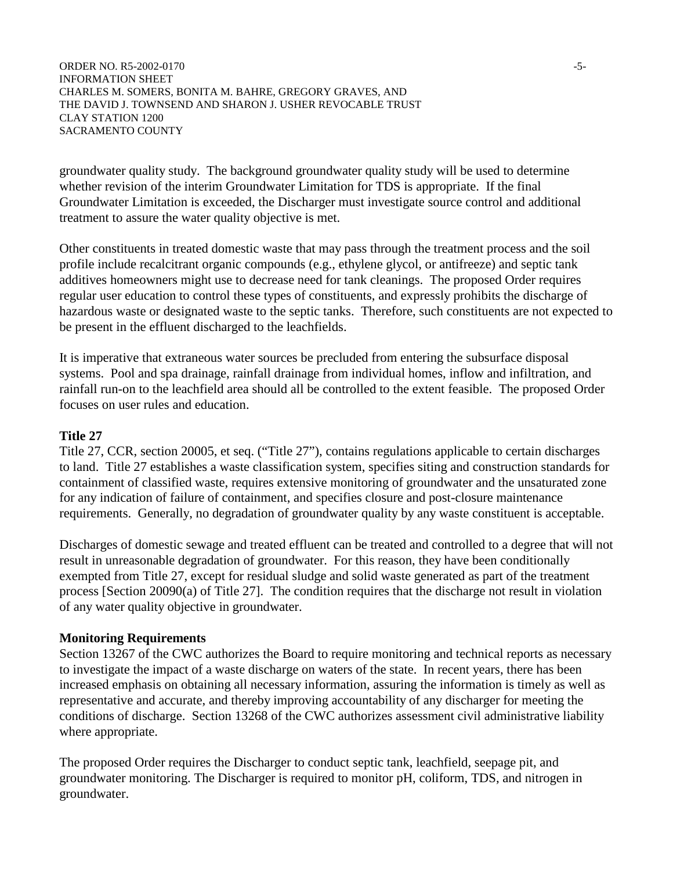ORDER NO. R5-2002-0170 -5-INFORMATION SHEET CHARLES M. SOMERS, BONITA M. BAHRE, GREGORY GRAVES, AND THE DAVID J. TOWNSEND AND SHARON J. USHER REVOCABLE TRUST CLAY STATION 1200 SACRAMENTO COUNTY

groundwater quality study. The background groundwater quality study will be used to determine whether revision of the interim Groundwater Limitation for TDS is appropriate. If the final Groundwater Limitation is exceeded, the Discharger must investigate source control and additional treatment to assure the water quality objective is met.

Other constituents in treated domestic waste that may pass through the treatment process and the soil profile include recalcitrant organic compounds (e.g., ethylene glycol, or antifreeze) and septic tank additives homeowners might use to decrease need for tank cleanings. The proposed Order requires regular user education to control these types of constituents, and expressly prohibits the discharge of hazardous waste or designated waste to the septic tanks. Therefore, such constituents are not expected to be present in the effluent discharged to the leachfields.

It is imperative that extraneous water sources be precluded from entering the subsurface disposal systems. Pool and spa drainage, rainfall drainage from individual homes, inflow and infiltration, and rainfall run-on to the leachfield area should all be controlled to the extent feasible. The proposed Order focuses on user rules and education.

### **Title 27**

Title 27, CCR, section 20005, et seq. ("Title 27"), contains regulations applicable to certain discharges to land. Title 27 establishes a waste classification system, specifies siting and construction standards for containment of classified waste, requires extensive monitoring of groundwater and the unsaturated zone for any indication of failure of containment, and specifies closure and post-closure maintenance requirements. Generally, no degradation of groundwater quality by any waste constituent is acceptable.

Discharges of domestic sewage and treated effluent can be treated and controlled to a degree that will not result in unreasonable degradation of groundwater. For this reason, they have been conditionally exempted from Title 27, except for residual sludge and solid waste generated as part of the treatment process [Section 20090(a) of Title 27]. The condition requires that the discharge not result in violation of any water quality objective in groundwater.

#### **Monitoring Requirements**

Section 13267 of the CWC authorizes the Board to require monitoring and technical reports as necessary to investigate the impact of a waste discharge on waters of the state. In recent years, there has been increased emphasis on obtaining all necessary information, assuring the information is timely as well as representative and accurate, and thereby improving accountability of any discharger for meeting the conditions of discharge. Section 13268 of the CWC authorizes assessment civil administrative liability where appropriate.

The proposed Order requires the Discharger to conduct septic tank, leachfield, seepage pit, and groundwater monitoring. The Discharger is required to monitor pH, coliform, TDS, and nitrogen in groundwater.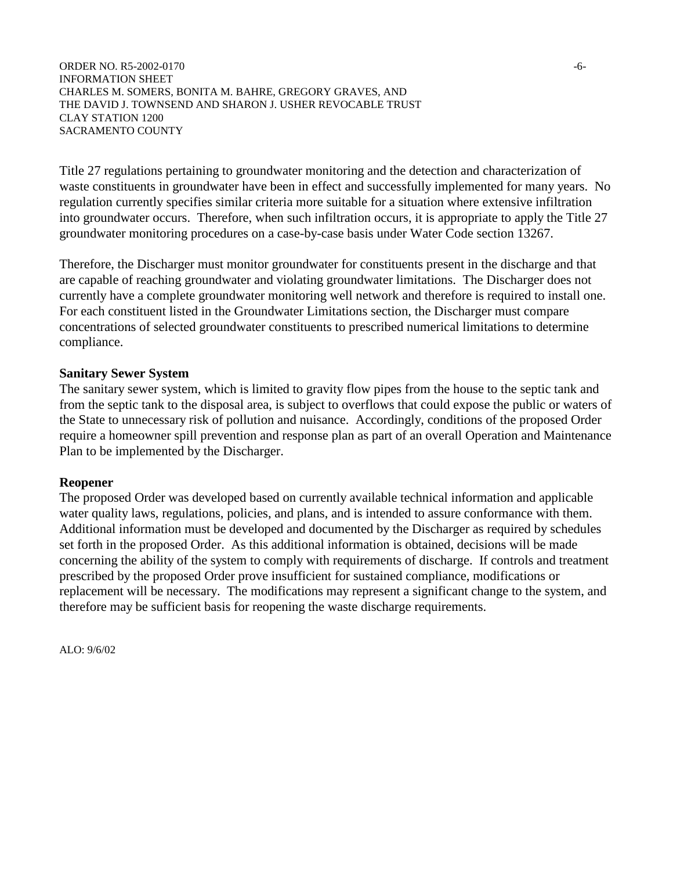ORDER NO. R5-2002-0170 -6-INFORMATION SHEET CHARLES M. SOMERS, BONITA M. BAHRE, GREGORY GRAVES, AND THE DAVID J. TOWNSEND AND SHARON J. USHER REVOCABLE TRUST CLAY STATION 1200 SACRAMENTO COUNTY

Title 27 regulations pertaining to groundwater monitoring and the detection and characterization of waste constituents in groundwater have been in effect and successfully implemented for many years. No regulation currently specifies similar criteria more suitable for a situation where extensive infiltration into groundwater occurs. Therefore, when such infiltration occurs, it is appropriate to apply the Title 27 groundwater monitoring procedures on a case-by-case basis under Water Code section 13267.

Therefore, the Discharger must monitor groundwater for constituents present in the discharge and that are capable of reaching groundwater and violating groundwater limitations. The Discharger does not currently have a complete groundwater monitoring well network and therefore is required to install one. For each constituent listed in the Groundwater Limitations section, the Discharger must compare concentrations of selected groundwater constituents to prescribed numerical limitations to determine compliance.

### **Sanitary Sewer System**

The sanitary sewer system, which is limited to gravity flow pipes from the house to the septic tank and from the septic tank to the disposal area, is subject to overflows that could expose the public or waters of the State to unnecessary risk of pollution and nuisance. Accordingly, conditions of the proposed Order require a homeowner spill prevention and response plan as part of an overall Operation and Maintenance Plan to be implemented by the Discharger.

#### **Reopener**

The proposed Order was developed based on currently available technical information and applicable water quality laws, regulations, policies, and plans, and is intended to assure conformance with them. Additional information must be developed and documented by the Discharger as required by schedules set forth in the proposed Order. As this additional information is obtained, decisions will be made concerning the ability of the system to comply with requirements of discharge. If controls and treatment prescribed by the proposed Order prove insufficient for sustained compliance, modifications or replacement will be necessary. The modifications may represent a significant change to the system, and therefore may be sufficient basis for reopening the waste discharge requirements.

ALO: 9/6/02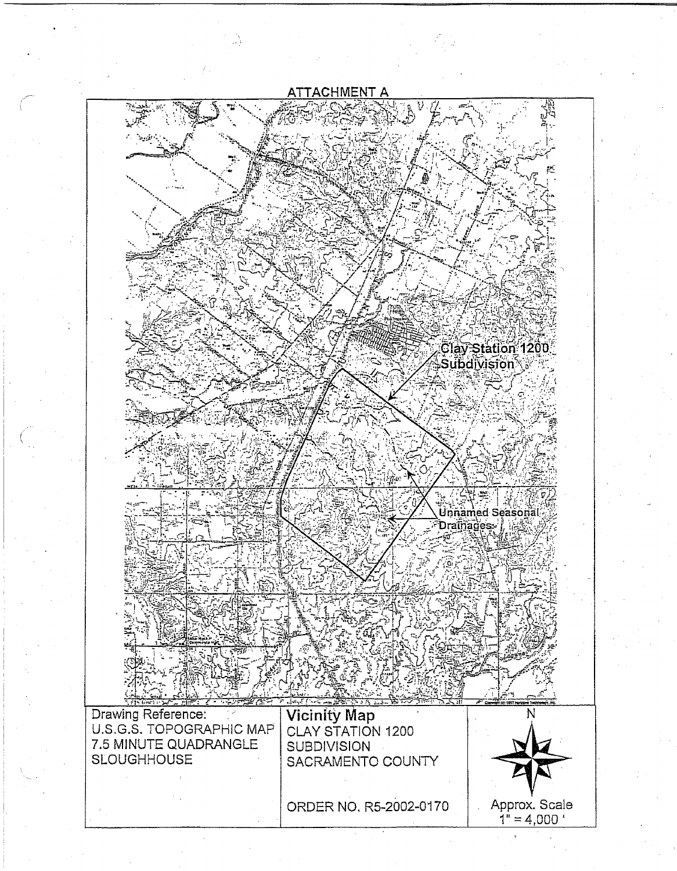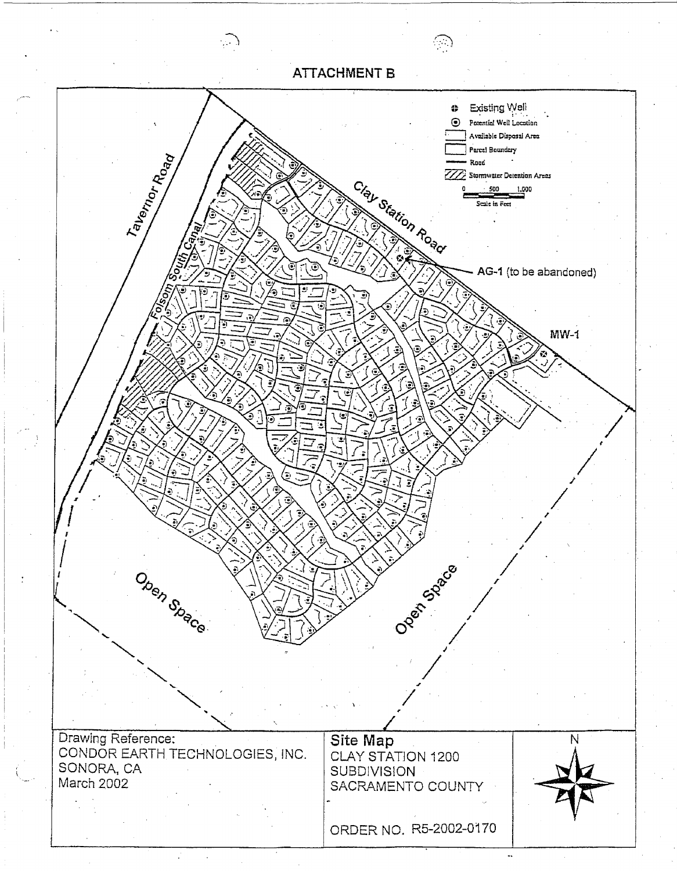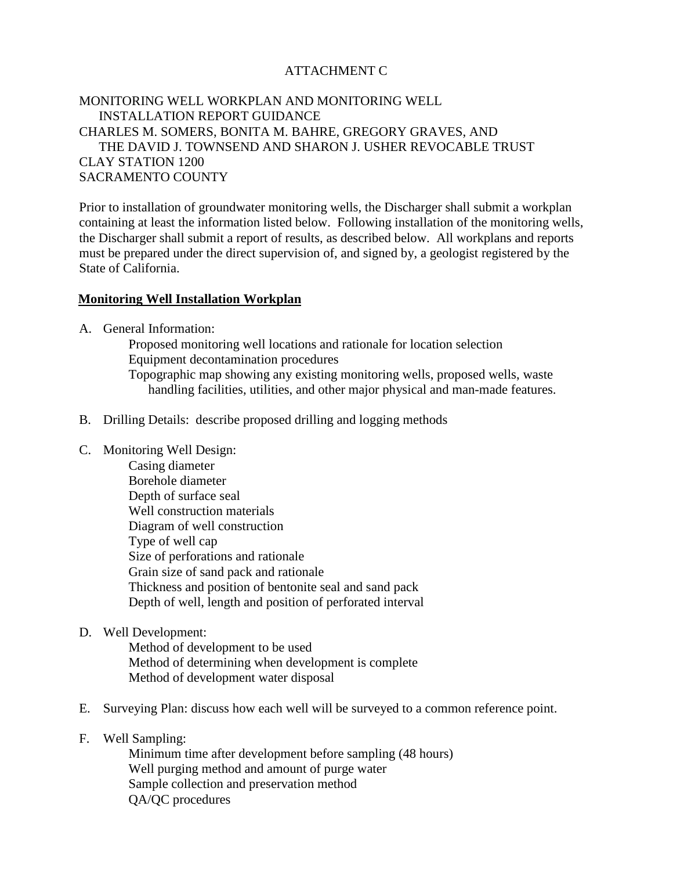## ATTACHMENT C

## MONITORING WELL WORKPLAN AND MONITORING WELL INSTALLATION REPORT GUIDANCE CHARLES M. SOMERS, BONITA M. BAHRE, GREGORY GRAVES, AND THE DAVID J. TOWNSEND AND SHARON J. USHER REVOCABLE TRUST CLAY STATION 1200 SACRAMENTO COUNTY

Prior to installation of groundwater monitoring wells, the Discharger shall submit a workplan containing at least the information listed below. Following installation of the monitoring wells, the Discharger shall submit a report of results, as described below. All workplans and reports must be prepared under the direct supervision of, and signed by, a geologist registered by the State of California.

### **Monitoring Well Installation Workplan**

A. General Information:

Proposed monitoring well locations and rationale for location selection Equipment decontamination procedures Topographic map showing any existing monitoring wells, proposed wells, waste handling facilities, utilities, and other major physical and man-made features.

- B. Drilling Details: describe proposed drilling and logging methods
- C. Monitoring Well Design:
	- Casing diameter Borehole diameter Depth of surface seal Well construction materials Diagram of well construction Type of well cap Size of perforations and rationale Grain size of sand pack and rationale Thickness and position of bentonite seal and sand pack Depth of well, length and position of perforated interval
- D. Well Development:

Method of development to be used Method of determining when development is complete Method of development water disposal

- E. Surveying Plan: discuss how each well will be surveyed to a common reference point.
- F. Well Sampling:

Minimum time after development before sampling (48 hours) Well purging method and amount of purge water Sample collection and preservation method QA/QC procedures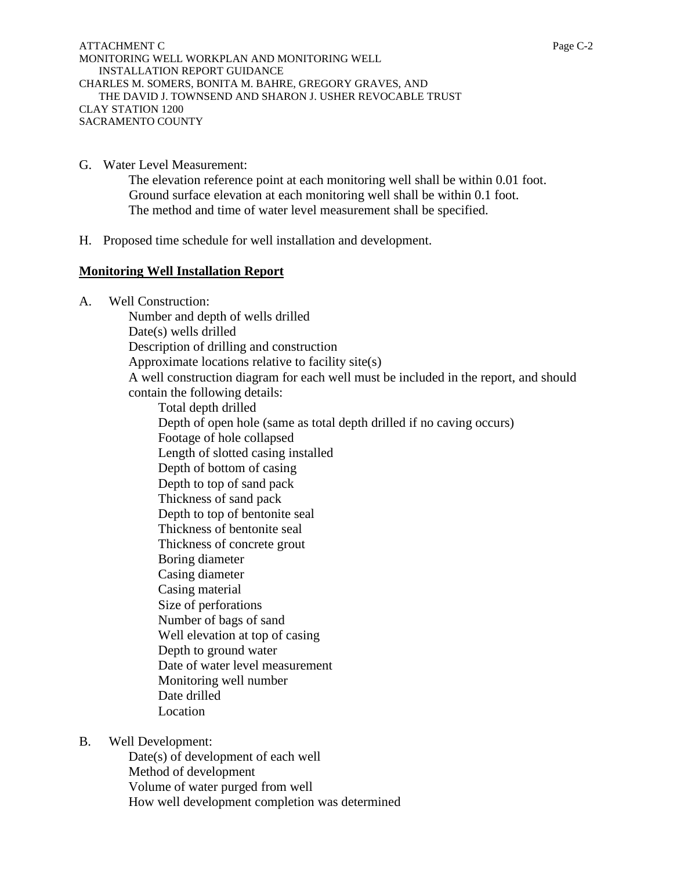ATTACHMENT C Page C-2 MONITORING WELL WORKPLAN AND MONITORING WELL INSTALLATION REPORT GUIDANCE CHARLES M. SOMERS, BONITA M. BAHRE, GREGORY GRAVES, AND THE DAVID J. TOWNSEND AND SHARON J. USHER REVOCABLE TRUST CLAY STATION 1200 SACRAMENTO COUNTY

- G. Water Level Measurement: The elevation reference point at each monitoring well shall be within 0.01 foot. Ground surface elevation at each monitoring well shall be within 0.1 foot. The method and time of water level measurement shall be specified.
- H. Proposed time schedule for well installation and development.

## **Monitoring Well Installation Report**

A. Well Construction:

Number and depth of wells drilled Date(s) wells drilled Description of drilling and construction Approximate locations relative to facility site(s) A well construction diagram for each well must be included in the report, and should contain the following details: Total depth drilled Depth of open hole (same as total depth drilled if no caving occurs) Footage of hole collapsed Length of slotted casing installed Depth of bottom of casing Depth to top of sand pack Thickness of sand pack Depth to top of bentonite seal Thickness of bentonite seal Thickness of concrete grout Boring diameter Casing diameter Casing material Size of perforations Number of bags of sand Well elevation at top of casing Depth to ground water Date of water level measurement Monitoring well number Date drilled Location

B. Well Development:

Date(s) of development of each well Method of development Volume of water purged from well How well development completion was determined